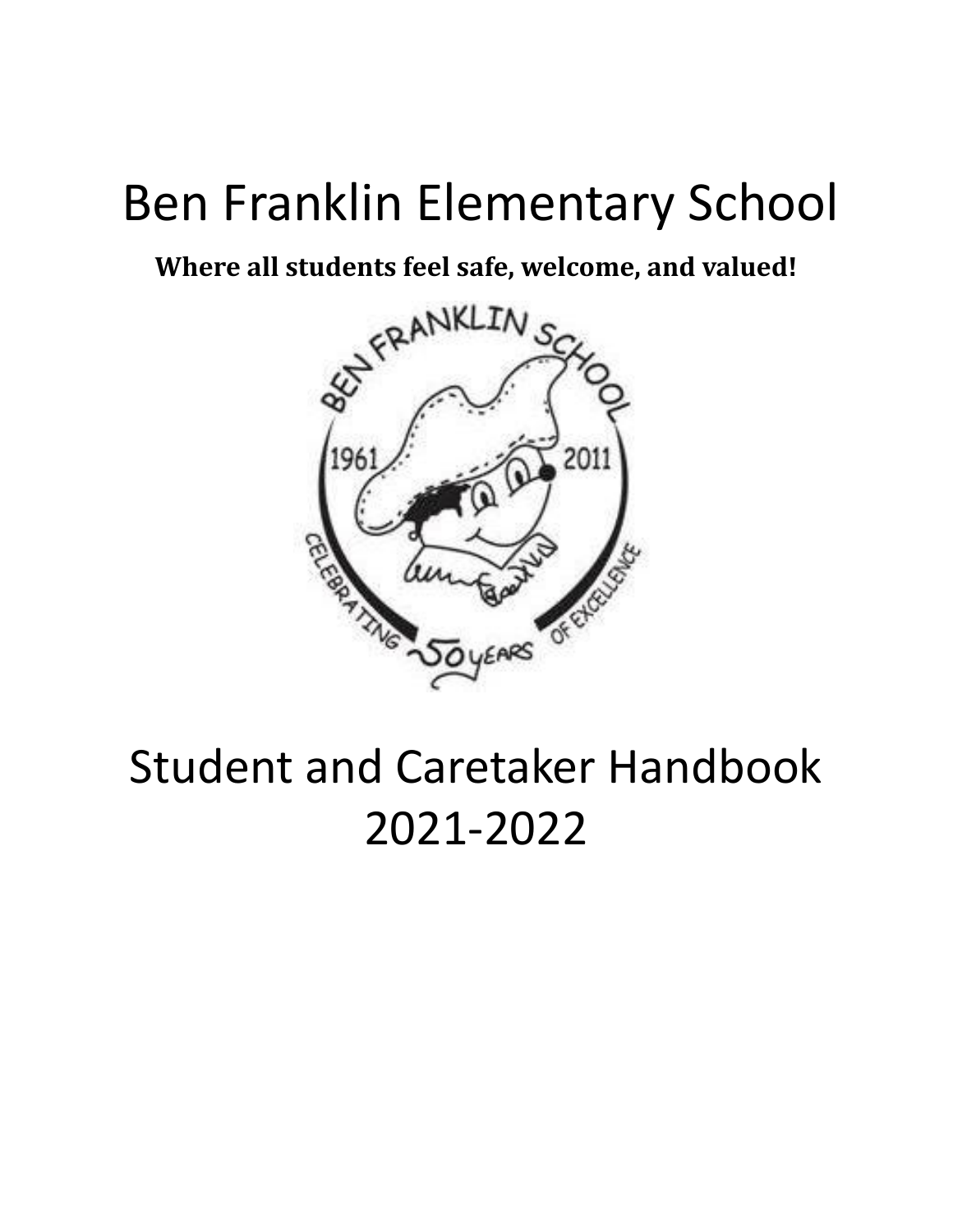# Ben Franklin Elementary School

**Where all students feel safe, welcome, and valued!**



# Student and Caretaker Handbook 2021-2022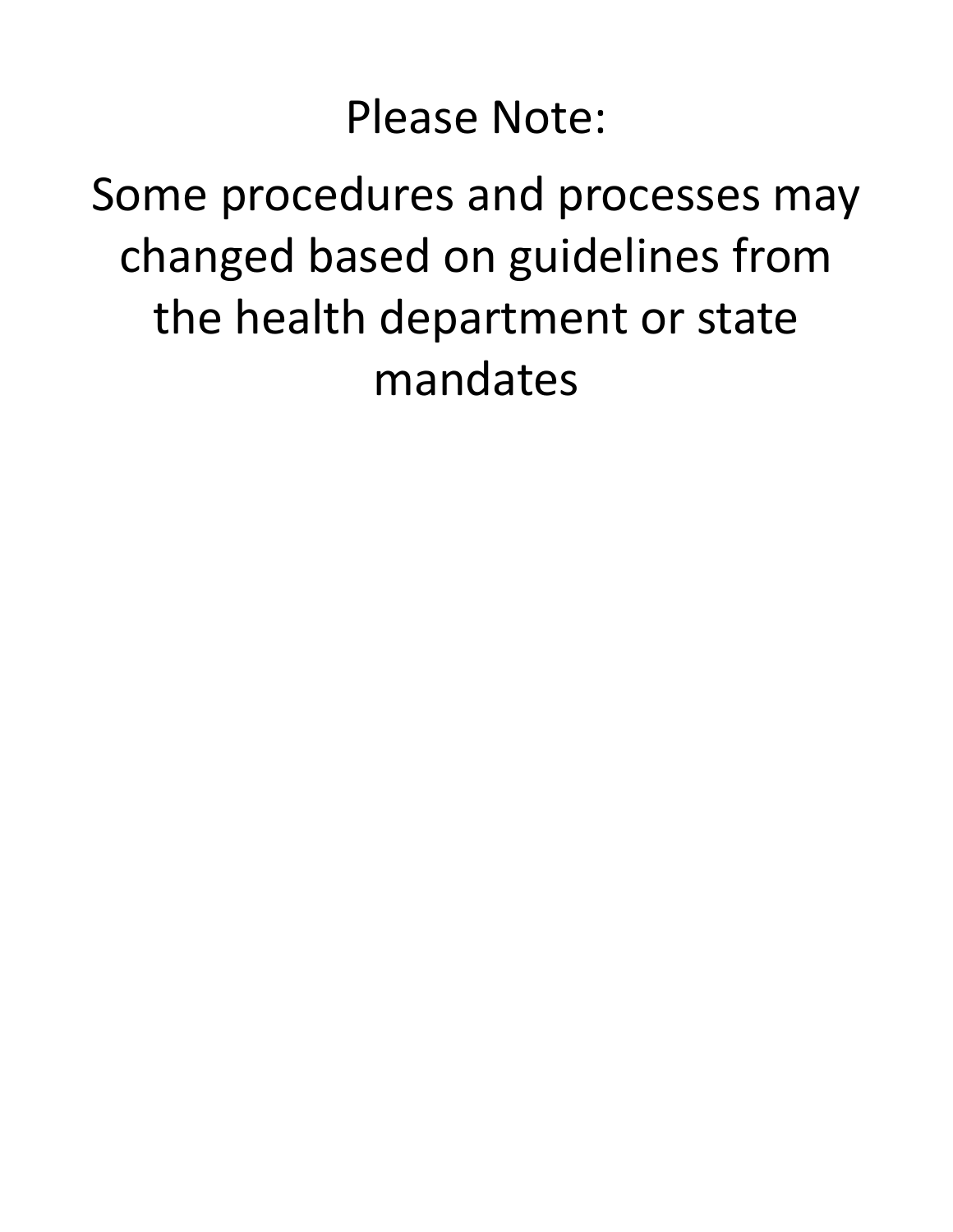# Please Note:

# Some procedures and processes may changed based on guidelines from the health department or state mandates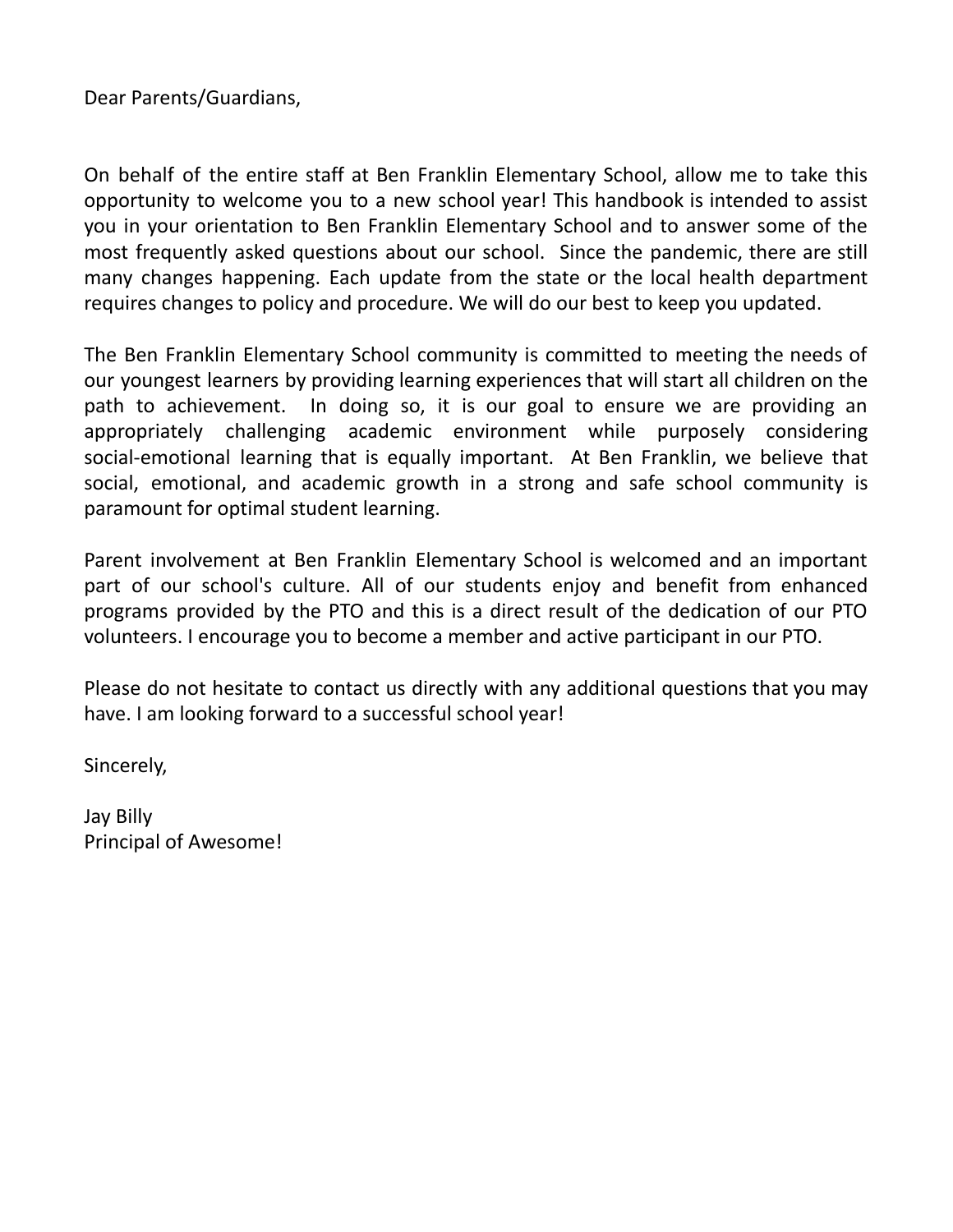Dear Parents/Guardians,

On behalf of the entire staff at Ben Franklin Elementary School, allow me to take this opportunity to welcome you to a new school year! This handbook is intended to assist you in your orientation to Ben Franklin Elementary School and to answer some of the most frequently asked questions about our school. Since the pandemic, there are still many changes happening. Each update from the state or the local health department requires changes to policy and procedure. We will do our best to keep you updated.

The Ben Franklin Elementary School community is committed to meeting the needs of our youngest learners by providing learning experiences that will start all children on the path to achievement. In doing so, it is our goal to ensure we are providing an appropriately challenging academic environment while purposely considering social-emotional learning that is equally important. At Ben Franklin, we believe that social, emotional, and academic growth in a strong and safe school community is paramount for optimal student learning.

Parent involvement at Ben Franklin Elementary School is welcomed and an important part of our school's culture. All of our students enjoy and benefit from enhanced programs provided by the PTO and this is a direct result of the dedication of our PTO volunteers. I encourage you to become a member and active participant in our PTO.

Please do not hesitate to contact us directly with any additional questions that you may have. I am looking forward to a successful school year!

Sincerely,

Jay Billy Principal of Awesome!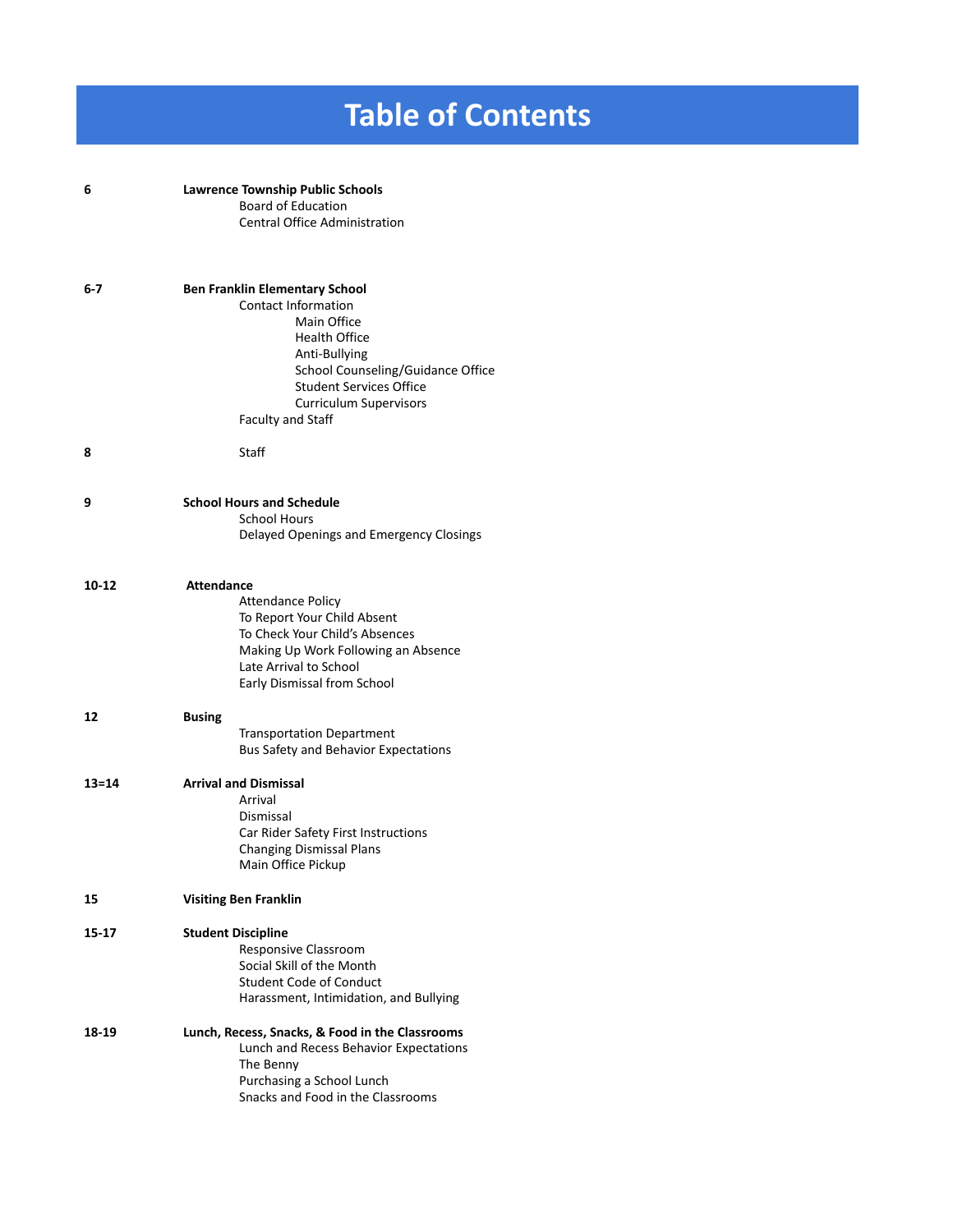# **Table of Contents**

| 6         | <b>Lawrence Township Public Schools</b><br><b>Board of Education</b><br><b>Central Office Administration</b>                                                                                                                                                    |
|-----------|-----------------------------------------------------------------------------------------------------------------------------------------------------------------------------------------------------------------------------------------------------------------|
| 6-7       | <b>Ben Franklin Elementary School</b><br><b>Contact Information</b><br>Main Office<br><b>Health Office</b><br>Anti-Bullying<br>School Counseling/Guidance Office<br><b>Student Services Office</b><br><b>Curriculum Supervisors</b><br><b>Faculty and Staff</b> |
| 8         | Staff                                                                                                                                                                                                                                                           |
| 9         | <b>School Hours and Schedule</b><br><b>School Hours</b><br>Delayed Openings and Emergency Closings                                                                                                                                                              |
| 10-12     | <b>Attendance</b><br><b>Attendance Policy</b><br>To Report Your Child Absent<br>To Check Your Child's Absences<br>Making Up Work Following an Absence<br>Late Arrival to School<br>Early Dismissal from School                                                  |
| 12        | <b>Busing</b><br><b>Transportation Department</b><br>Bus Safety and Behavior Expectations                                                                                                                                                                       |
| $13 = 14$ | <b>Arrival and Dismissal</b><br>Arrival<br>Dismissal<br>Car Rider Safety First Instructions<br><b>Changing Dismissal Plans</b><br>Main Office Pickup                                                                                                            |
| 15        | <b>Visiting Ben Franklin</b>                                                                                                                                                                                                                                    |
| 15-17     | <b>Student Discipline</b><br>Responsive Classroom<br>Social Skill of the Month<br><b>Student Code of Conduct</b><br>Harassment, Intimidation, and Bullying                                                                                                      |
| 18-19     | Lunch, Recess, Snacks, & Food in the Classrooms<br>Lunch and Recess Behavior Expectations<br>The Benny<br>Purchasing a School Lunch<br>Snacks and Food in the Classrooms                                                                                        |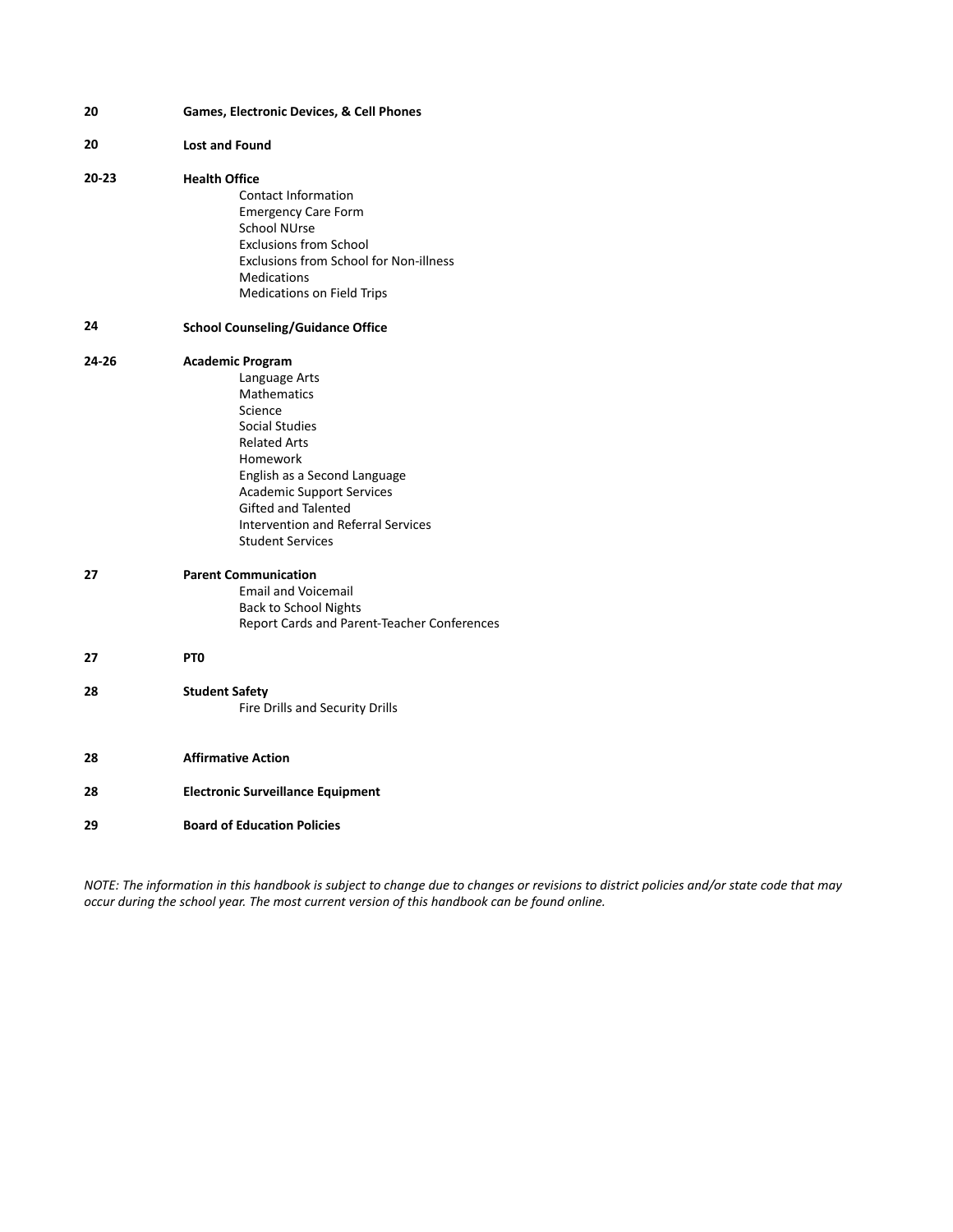| 20    | Games, Electronic Devices, & Cell Phones                                                                                                                                                                                                                                                                 |  |
|-------|----------------------------------------------------------------------------------------------------------------------------------------------------------------------------------------------------------------------------------------------------------------------------------------------------------|--|
| 20    | <b>Lost and Found</b>                                                                                                                                                                                                                                                                                    |  |
| 20-23 | <b>Health Office</b><br><b>Contact Information</b><br><b>Emergency Care Form</b><br><b>School NUrse</b><br><b>Exclusions from School</b><br>Exclusions from School for Non-illness<br><b>Medications</b><br>Medications on Field Trips                                                                   |  |
| 24    | <b>School Counseling/Guidance Office</b>                                                                                                                                                                                                                                                                 |  |
| 24-26 | <b>Academic Program</b><br>Language Arts<br><b>Mathematics</b><br>Science<br><b>Social Studies</b><br><b>Related Arts</b><br>Homework<br>English as a Second Language<br><b>Academic Support Services</b><br><b>Gifted and Talented</b><br>Intervention and Referral Services<br><b>Student Services</b> |  |
| 27    | <b>Parent Communication</b><br><b>Email and Voicemail</b><br><b>Back to School Nights</b><br>Report Cards and Parent-Teacher Conferences                                                                                                                                                                 |  |
| 27    | PT <sub>0</sub>                                                                                                                                                                                                                                                                                          |  |
| 28    | <b>Student Safety</b><br>Fire Drills and Security Drills                                                                                                                                                                                                                                                 |  |
| 28    | <b>Affirmative Action</b>                                                                                                                                                                                                                                                                                |  |
| 28    | <b>Electronic Surveillance Equipment</b>                                                                                                                                                                                                                                                                 |  |
| 29    | <b>Board of Education Policies</b>                                                                                                                                                                                                                                                                       |  |

*NOTE: The information in this handbook is subject to change due to changes or revisions to district policies and/or state code that may occur during the school year. The most current version of this handbook can be found online.*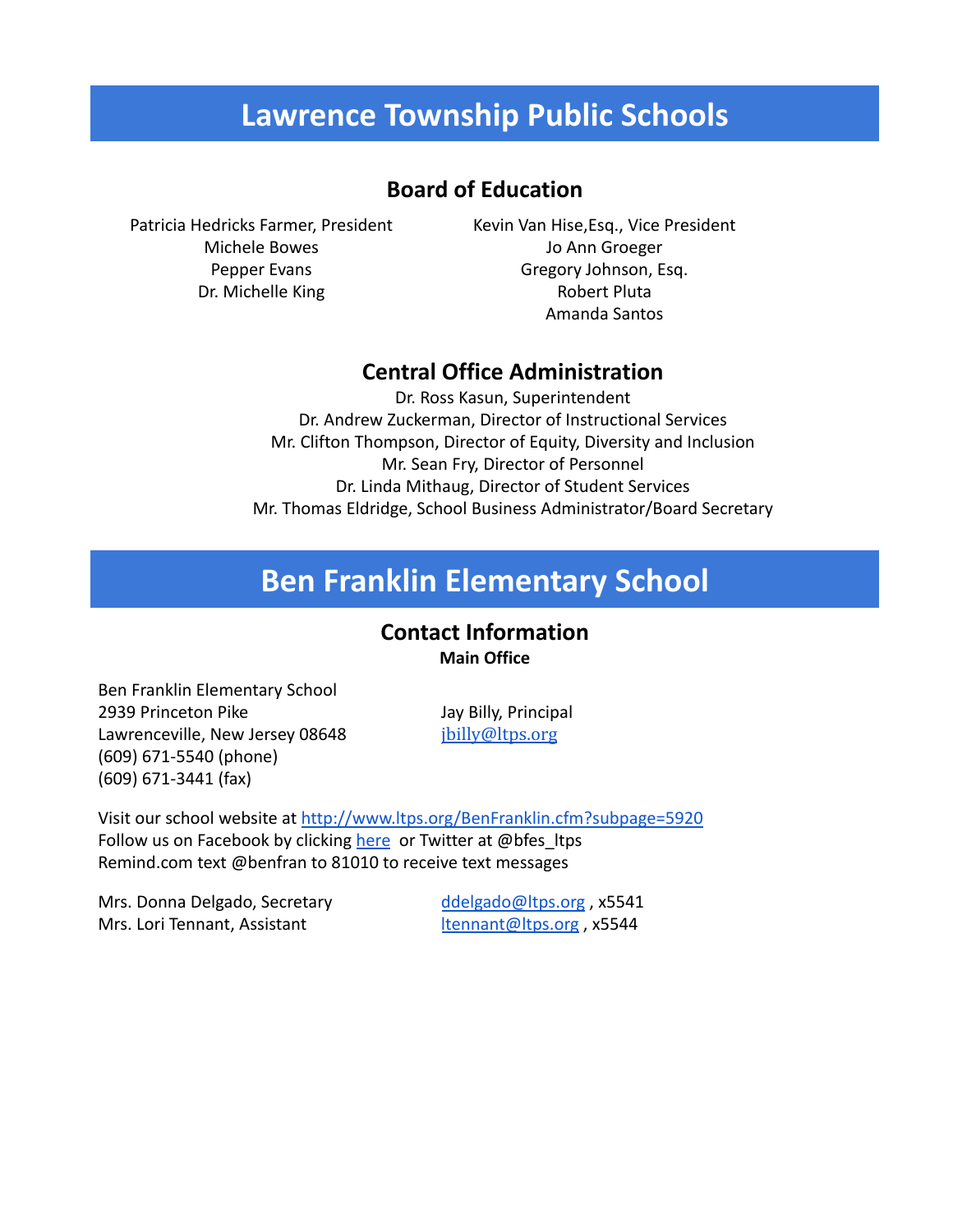# **Lawrence Township Public Schools**

### **Board of Education**

Patricia Hedricks Farmer, President Michele Bowes Pepper Evans Dr. Michelle King

Kevin Van Hise,Esq., Vice President Jo Ann Groeger Gregory Johnson, Esq. Robert Pluta Amanda Santos

### **Central Office Administration**

Dr. Ross Kasun, Superintendent Dr. Andrew Zuckerman, Director of Instructional Services Mr. Clifton Thompson, Director of Equity, Diversity and Inclusion Mr. Sean Fry, Director of Personnel Dr. Linda Mithaug, Director of Student Services Mr. Thomas Eldridge, School Business Administrator/Board Secretary

# **Ben Franklin Elementary School**

### **Contact Information Main Office**

Ben Franklin Elementary School 2939 Princeton Pike Lawrenceville, New Jersey 08648 (609) 671-5540 (phone) (609) 671-3441 (fax)

Jay Billy, Principal [jbilly@ltps.org](http://jbilly@ltps.org)

Visit our school website at <http://www.ltps.org/BenFranklin.cfm?subpage=5920> Follow us on Facebook by clicking [here](https://www.facebook.com/Ben-Franklin-Elementary-School-1061038223946729/?fref=nf) or Twitter at @bfes\_ltps Remind.com text @benfran to 81010 to receive text messages

Mrs. Donna Delgado, Secretary Mrs. Lori Tennant, Assistant

[ddelgado@ltps.org](mailto:ddelgado@ltps.org) , x5541 [ltennant@ltps.org](mailto:ltennant@ltps.org) , x5544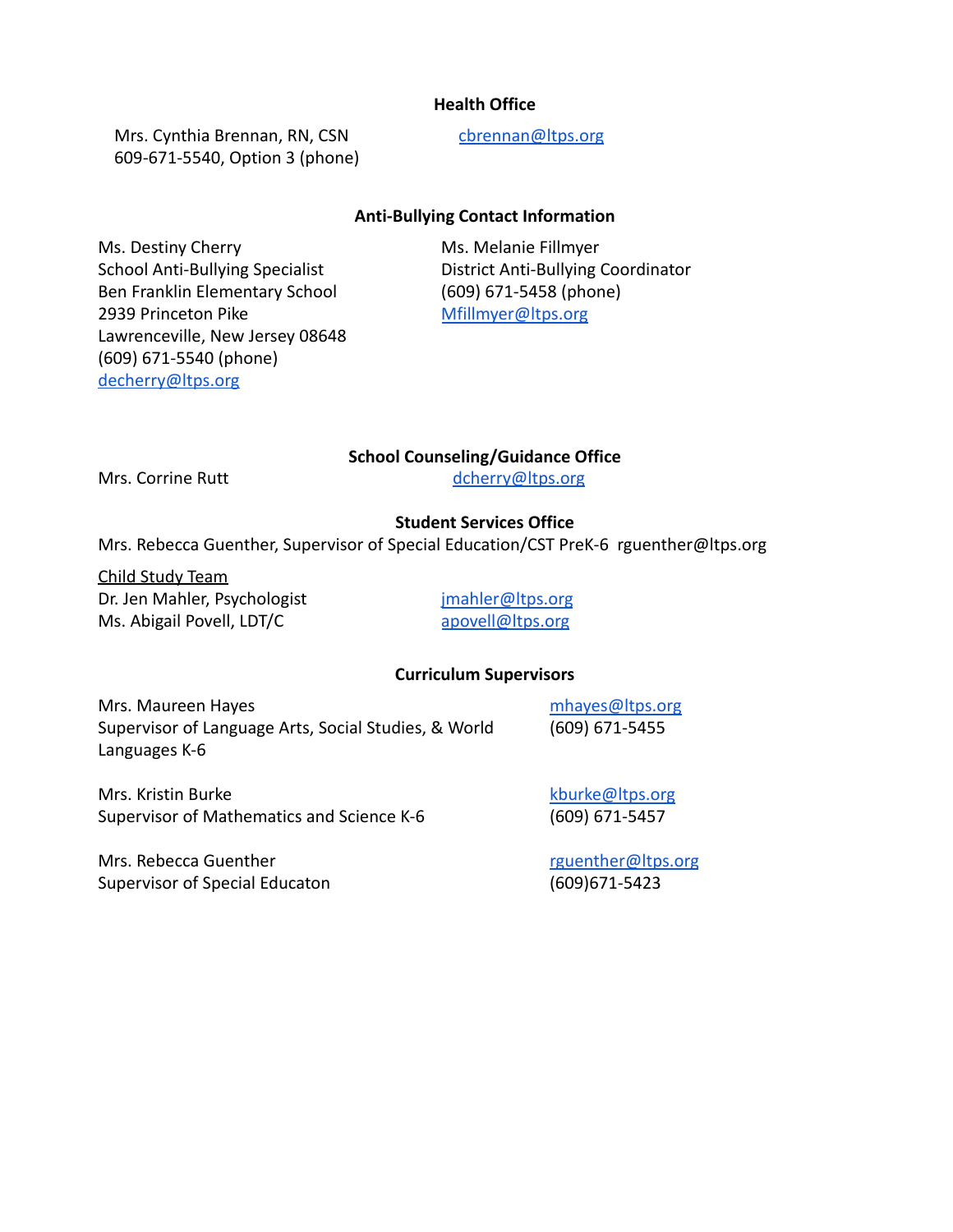#### **Health Office**

Mrs. Cynthia Brennan, RN, CSN 609-671-5540, Option 3 (phone) [cbrennan@ltps.org](mailto:cbrennan@ltps.org)

#### **Anti-Bullying Contact Information**

Ms. Destiny Cherry School Anti-Bullying Specialist Ben Franklin Elementary School 2939 Princeton Pike Lawrenceville, New Jersey 08648 (609) 671-5540 (phone) [decherry@ltps.org](mailto:dcherry@ltps.org)

Ms. Melanie Fillmyer District Anti-Bullying Coordinator (609) 671-5458 (phone) [Mfillmyer@ltps.org](mailto:mfillmeyer@ltps.org)

#### **School Counseling/Guidance Office**

Mrs. Corrine Rutt decree and the deferry of the deferry of the deferry of the deferry of the deferred of the deferred of the deferred of the deferred of the defendence of the defendence of the defendence of the defendence

#### **Student Services Office**

Mrs. Rebecca Guenther, Supervisor of Special Education/CST PreK-6 rguenther@ltps.org

Child Study Team Dr. Jen Mahler, Psychologist Ms. Abigail Povell, LDT/C

[jmahler@ltps.org](mailto:jmahler@ltps.org) [apovell@ltps.org](mailto:apovell@ltps.org)

#### **Curriculum Supervisors**

Mrs. Maureen Hayes Supervisor of Language Arts, Social Studies, & World Languages K-6

[mhayes@ltps.org](mailto:mhayes@ltps.org) (609) 671-5455

Mrs. Kristin Burke Supervisor of Mathematics and Science K-6

Mrs. Rebecca Guenther Supervisor of Special Educaton [kburke@ltps.org](mailto:kburke@ltps.org) (609) 671-5457

[rguenther@ltps.org](mailto:rguenther@ltps.org) (609)671-5423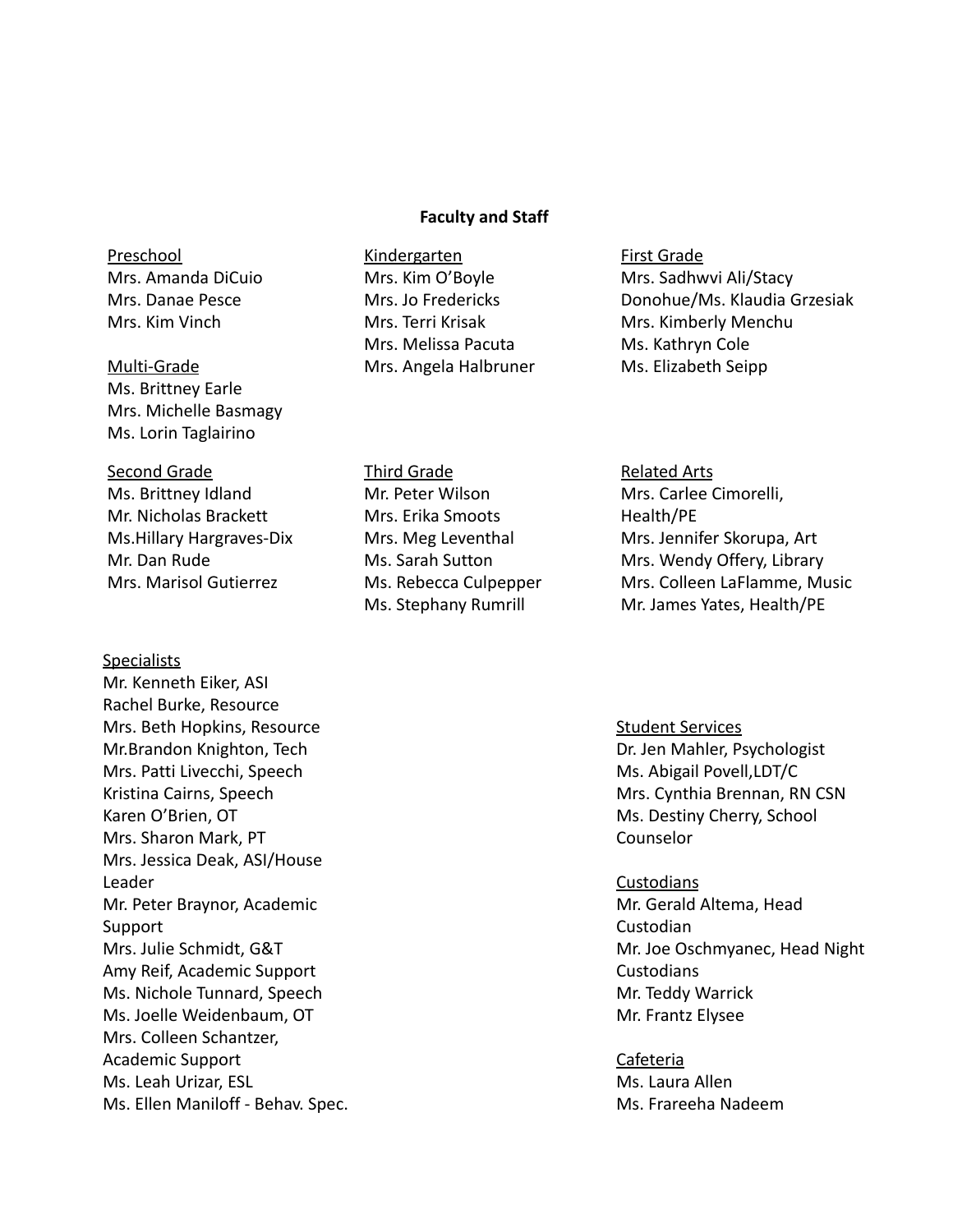#### **Faculty and Staff**

### Preschool Mrs. Amanda DiCuio Mrs. Danae Pesce Mrs. Kim Vinch

#### Multi-Grade

Ms. Brittney Earle Mrs. Michelle Basmagy Ms. Lorin Taglairino

#### Second Grade

Ms. Brittney Idland Mr. Nicholas Brackett Ms.Hillary Hargraves-Dix Mr. Dan Rude Mrs. Marisol Gutierrez

#### **Specialists**

Mr. Kenneth Eiker, ASI Rachel Burke, Resource Mrs. Beth Hopkins, Resource Mr.Brandon Knighton, Tech Mrs. Patti Livecchi, Speech Kristina Cairns, Speech Karen O'Brien, OT Mrs. Sharon Mark, PT Mrs. Jessica Deak, ASI/House Leader Mr. Peter Braynor, Academic Support Mrs. Julie Schmidt, G&T Amy Reif, Academic Support Ms. Nichole Tunnard, Speech Ms. Joelle Weidenbaum, OT Mrs. Colleen Schantzer, Academic Support Ms. Leah Urizar, ESL Ms. Ellen Maniloff - Behav. Spec.

#### Kindergarten Mrs. Kim O'Boyle Mrs. Jo Fredericks Mrs. Terri Krisak Mrs. Melissa Pacuta Mrs. Angela Halbruner

First Grade Mrs. Sadhwvi Ali/Stacy Donohue/Ms. Klaudia Grzesiak Mrs. Kimberly Menchu Ms. Kathryn Cole Ms. Elizabeth Seipp

### Third Grade Mr. Peter Wilson Mrs. Erika Smoots Mrs. Meg Leventhal Ms. Sarah Sutton Ms. Rebecca Culpepper Ms. Stephany Rumrill

Related Arts Mrs. Carlee Cimorelli, Health/PE Mrs. Jennifer Skorupa, Art Mrs. Wendy Offery, Library Mrs. Colleen LaFlamme, Music Mr. James Yates, Health/PE

#### Student Services Dr. Jen Mahler, Psychologist Ms. Abigail Povell,LDT/C Mrs. Cynthia Brennan, RN CSN Ms. Destiny Cherry, School Counselor

### **Custodians** Mr. Gerald Altema, Head Custodian Mr. Joe Oschmyanec, Head Night **Custodians** Mr. Teddy Warrick Mr. Frantz Elysee

#### Cafeteria Ms. Laura Allen Ms. Frareeha Nadeem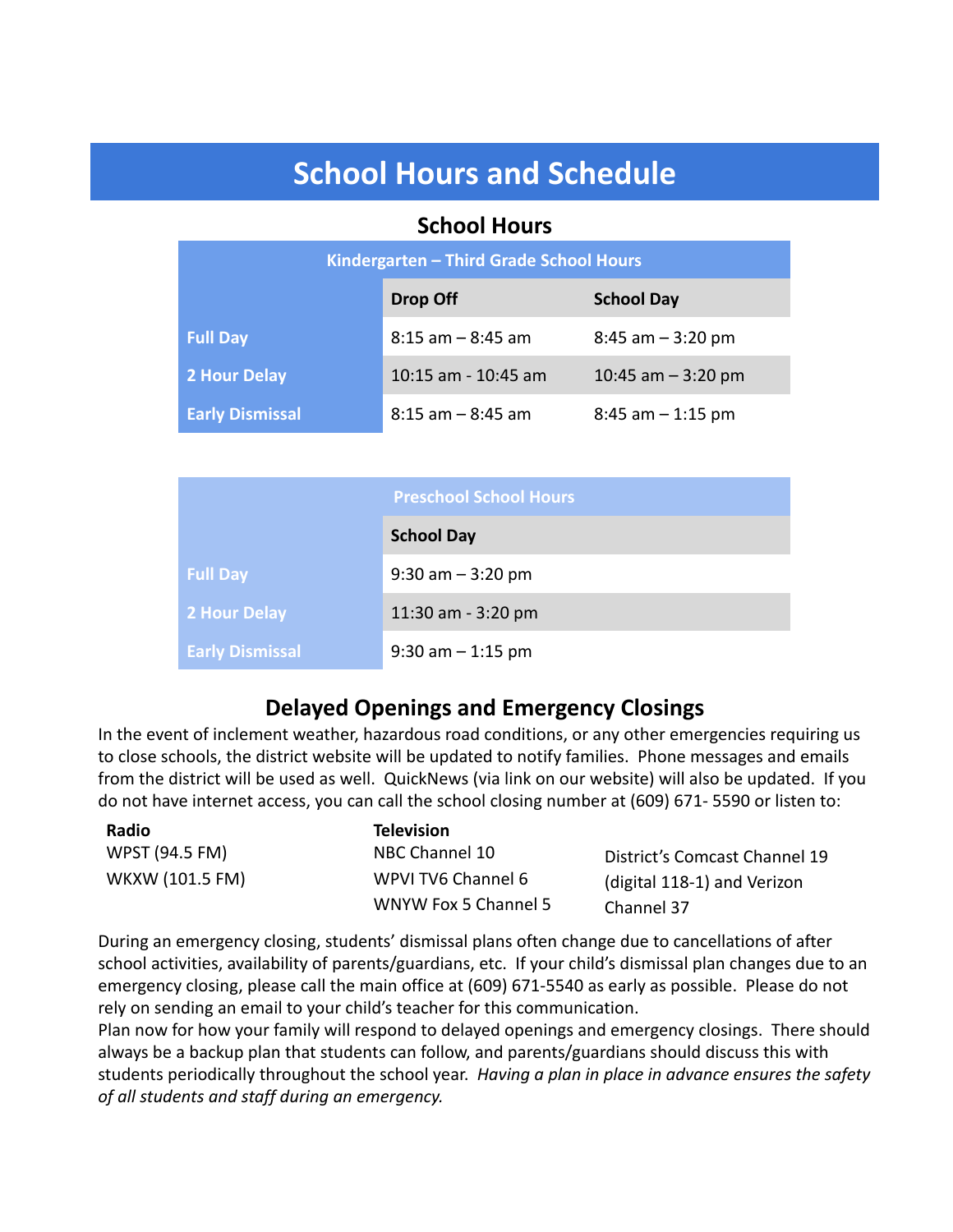# **School Hours and Schedule**

### **School Hours**

| Kindergarten - Third Grade School Hours |                      |                      |  |  |
|-----------------------------------------|----------------------|----------------------|--|--|
|                                         | Drop Off             | <b>School Day</b>    |  |  |
| <b>Full Day</b>                         | $8:15$ am $-8:45$ am | $8:45$ am $-3:20$ pm |  |  |
| 2 Hour Delay                            | 10:15 am - 10:45 am  | 10:45 am $-$ 3:20 pm |  |  |
| <b>Early Dismissal</b>                  | $8:15$ am $-8:45$ am | $8:45$ am $-1:15$ pm |  |  |

|                        | <b>Preschool School Hours</b> |
|------------------------|-------------------------------|
|                        | <b>School Day</b>             |
| <b>Full Day</b>        | $9:30$ am $-3:20$ pm          |
| <b>2 Hour Delay</b>    | 11:30 am - 3:20 pm            |
| <b>Early Dismissal</b> | $9:30$ am $-1:15$ pm          |

### **Delayed Openings and Emergency Closings**

In the event of inclement weather, hazardous road conditions, or any other emergencies requiring us to close schools, the district website will be updated to notify families. Phone messages and emails from the district will be used as well. QuickNews (via link on our website) will also be updated. If you do not have internet access, you can call the school closing number at (609) 671- 5590 or listen to:

| Radio           | <b>Television</b>    |                               |
|-----------------|----------------------|-------------------------------|
| WPST (94.5 FM)  | NBC Channel 10       | District's Comcast Channel 19 |
| WKXW (101.5 FM) | WPVI TV6 Channel 6   | (digital 118-1) and Verizon   |
|                 | WNYW Fox 5 Channel 5 | Channel 37                    |

During an emergency closing, students' dismissal plans often change due to cancellations of after school activities, availability of parents/guardians, etc. If your child's dismissal plan changes due to an emergency closing, please call the main office at (609) 671-5540 as early as possible. Please do not rely on sending an email to your child's teacher for this communication.

Plan now for how your family will respond to delayed openings and emergency closings. There should always be a backup plan that students can follow, and parents/guardians should discuss this with students periodically throughout the school year. *Having a plan in place in advance ensures the safety of all students and staff during an emergency.*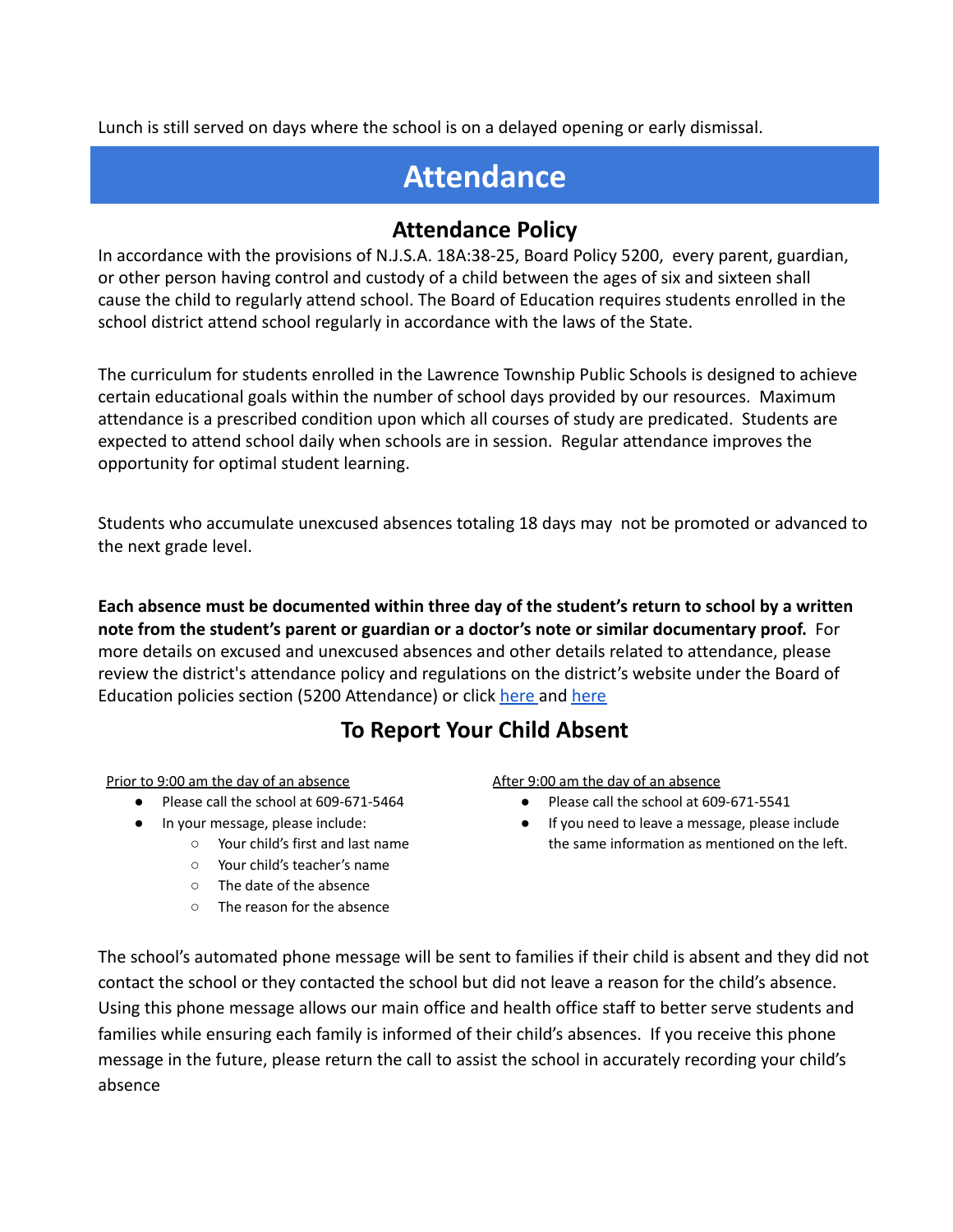Lunch is still served on days where the school is on a delayed opening or early dismissal.

# **Attendance**

### **Attendance Policy**

In accordance with the provisions of N.J.S.A. 18A:38-25, Board Policy 5200, every parent, guardian, or other person having control and custody of a child between the ages of six and sixteen shall cause the child to regularly attend school. The Board of Education requires students enrolled in the school district attend school regularly in accordance with the laws of the State.

The curriculum for students enrolled in the Lawrence Township Public Schools is designed to achieve certain educational goals within the number of school days provided by our resources. Maximum attendance is a prescribed condition upon which all courses of study are predicated. Students are expected to attend school daily when schools are in session. Regular attendance improves the opportunity for optimal student learning.

Students who accumulate unexcused absences totaling 18 days may not be promoted or advanced to the next grade level.

**Each absence must be documented within three day of the student's return to school by a written note from the student's parent or guardian or a doctor's note or similar documentary proof.** For more details on excused and unexcused absences and other details related to attendance, please review the district's attendance policy and regulations on the district's website under the Board of Education policies section (5200 Attendance) or click [here](https://www.ltps.org/cms/lib/NJ01913151/Centricity/Domain/11/5200R%20Attendance%20Procedures%20for%20Grades%20K-8.pdf) and here

# **To Report Your Child Absent**

Prior to 9:00 am the day of an absence

- Please call the school at 609-671-5464
- In your message, please include:
	- Your child's first and last name
	- Your child's teacher's name
	- The date of the absence
	- The reason for the absence

After 9:00 am the day of an absence

- Please call the school at 609-671-5541
- If you need to leave a message, please include the same information as mentioned on the left.

The school's automated phone message will be sent to families if their child is absent and they did not contact the school or they contacted the school but did not leave a reason for the child's absence. Using this phone message allows our main office and health office staff to better serve students and families while ensuring each family is informed of their child's absences. If you receive this phone message in the future, please return the call to assist the school in accurately recording your child's absence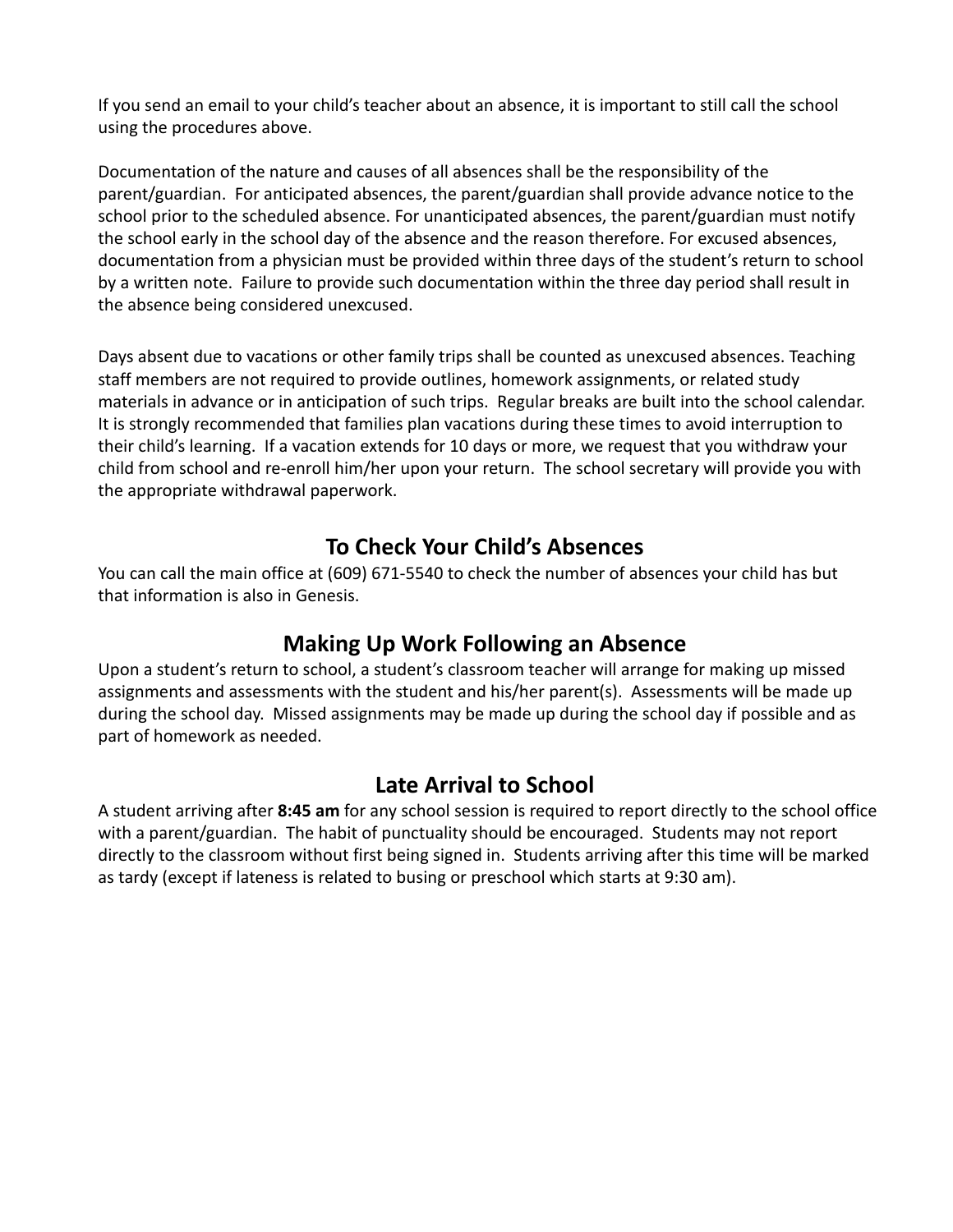If you send an email to your child's teacher about an absence, it is important to still call the school using the procedures above.

Documentation of the nature and causes of all absences shall be the responsibility of the parent/guardian. For anticipated absences, the parent/guardian shall provide advance notice to the school prior to the scheduled absence. For unanticipated absences, the parent/guardian must notify the school early in the school day of the absence and the reason therefore. For excused absences, documentation from a physician must be provided within three days of the student's return to school by a written note. Failure to provide such documentation within the three day period shall result in the absence being considered unexcused.

Days absent due to vacations or other family trips shall be counted as unexcused absences. Teaching staff members are not required to provide outlines, homework assignments, or related study materials in advance or in anticipation of such trips. Regular breaks are built into the school calendar. It is strongly recommended that families plan vacations during these times to avoid interruption to their child's learning. If a vacation extends for 10 days or more, we request that you withdraw your child from school and re-enroll him/her upon your return. The school secretary will provide you with the appropriate withdrawal paperwork.

## **To Check Your Child's Absences**

You can call the main office at (609) 671-5540 to check the number of absences your child has but that information is also in Genesis.

### **Making Up Work Following an Absence**

Upon a student's return to school, a student's classroom teacher will arrange for making up missed assignments and assessments with the student and his/her parent(s). Assessments will be made up during the school day. Missed assignments may be made up during the school day if possible and as part of homework as needed.

### **Late Arrival to School**

A student arriving after **8:45 am** for any school session is required to report directly to the school office with a parent/guardian. The habit of punctuality should be encouraged. Students may not report directly to the classroom without first being signed in. Students arriving after this time will be marked as tardy (except if lateness is related to busing or preschool which starts at 9:30 am).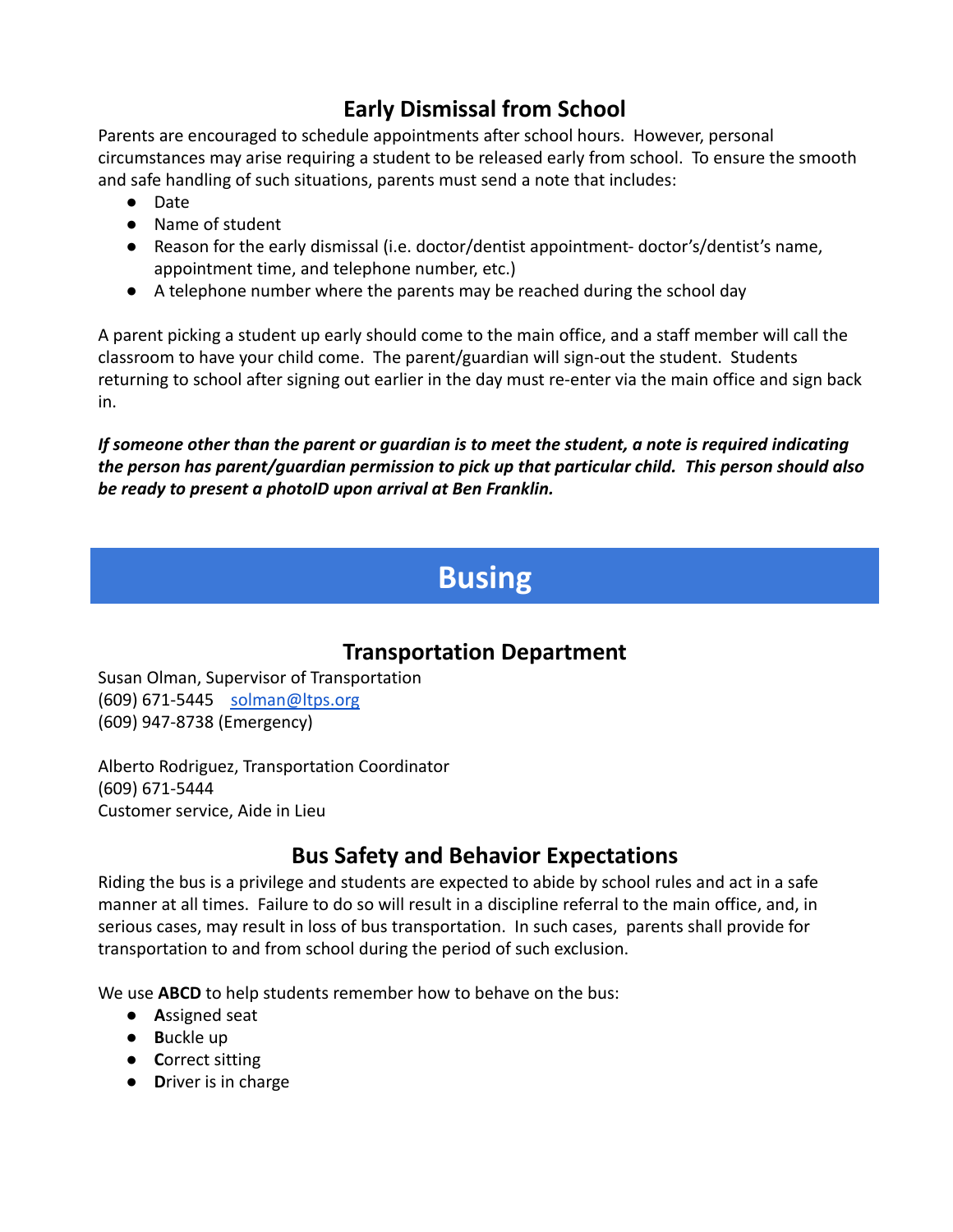# **Early Dismissal from School**

Parents are encouraged to schedule appointments after school hours. However, personal circumstances may arise requiring a student to be released early from school. To ensure the smooth and safe handling of such situations, parents must send a note that includes:

- Date
- Name of student
- Reason for the early dismissal (i.e. doctor/dentist appointment- doctor's/dentist's name, appointment time, and telephone number, etc.)
- A telephone number where the parents may be reached during the school day

A parent picking a student up early should come to the main office, and a staff member will call the classroom to have your child come. The parent/guardian will sign-out the student. Students returning to school after signing out earlier in the day must re-enter via the main office and sign back in.

*If someone other than the parent or guardian is to meet the student, a note is required indicating the person has parent/guardian permission to pick up that particular child. This person should also be ready to present a photoID upon arrival at Ben Franklin.*

# **Busing**

# **Transportation Department**

Susan Olman, Supervisor of Transportation (609) 671-5445 [solman@ltps.org](mailto:solman@ltps.org) (609) 947-8738 (Emergency)

Alberto Rodriguez, Transportation Coordinator (609) 671-5444 Customer service, Aide in Lieu

# **Bus Safety and Behavior Expectations**

Riding the bus is a privilege and students are expected to abide by school rules and act in a safe manner at all times. Failure to do so will result in a discipline referral to the main office, and, in serious cases, may result in loss of bus transportation. In such cases, parents shall provide for transportation to and from school during the period of such exclusion.

We use **ABCD** to help students remember how to behave on the bus:

- **A**ssigned seat
- **B**uckle up
- **C**orrect sitting
- **D**river is in charge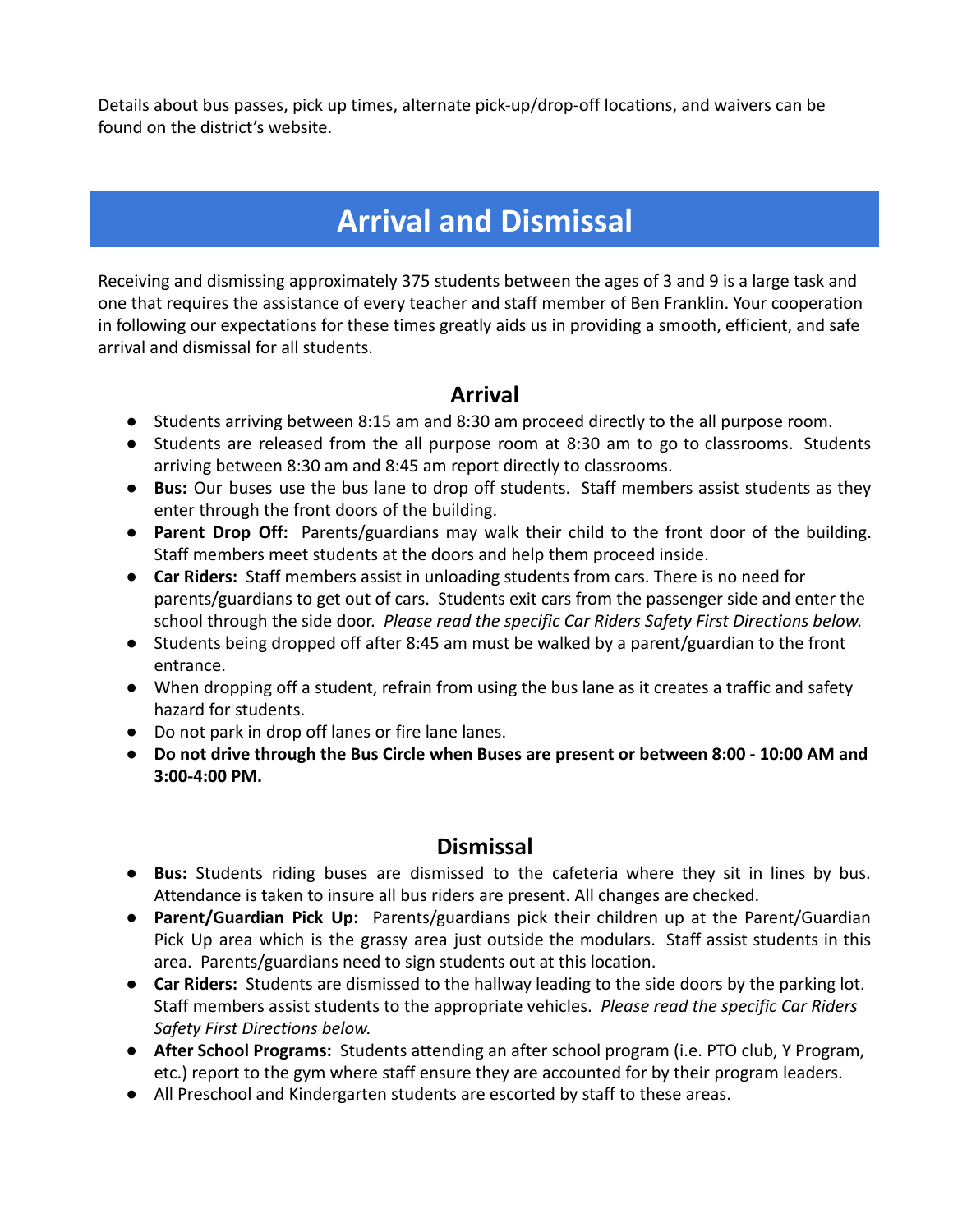Details about bus passes, pick up times, alternate pick-up/drop-off locations, and waivers can be found on the district's website.

# **Arrival and Dismissal**

Receiving and dismissing approximately 375 students between the ages of 3 and 9 is a large task and one that requires the assistance of every teacher and staff member of Ben Franklin. Your cooperation in following our expectations for these times greatly aids us in providing a smooth, efficient, and safe arrival and dismissal for all students.

### **Arrival**

- Students arriving between 8:15 am and 8:30 am proceed directly to the all purpose room.
- Students are released from the all purpose room at 8:30 am to go to classrooms. Students arriving between 8:30 am and 8:45 am report directly to classrooms.
- **Bus:** Our buses use the bus lane to drop off students. Staff members assist students as they enter through the front doors of the building.
- **Parent Drop Off:** Parents/guardians may walk their child to the front door of the building. Staff members meet students at the doors and help them proceed inside.
- **Car Riders:** Staff members assist in unloading students from cars. There is no need for parents/guardians to get out of cars. Students exit cars from the passenger side and enter the school through the side door. *Please read the specific Car Riders Safety First Directions below.*
- Students being dropped off after 8:45 am must be walked by a parent/guardian to the front entrance.
- When dropping off a student, refrain from using the bus lane as it creates a traffic and safety hazard for students.
- Do not park in drop off lanes or fire lane lanes.
- **● Do not drive through the Bus Circle when Buses are present or between 8:00 10:00 AM and 3:00-4:00 PM.**

### **Dismissal**

- **Bus:** Students riding buses are dismissed to the cafeteria where they sit in lines by bus. Attendance is taken to insure all bus riders are present. All changes are checked.
- **Parent/Guardian Pick Up:** Parents/guardians pick their children up at the Parent/Guardian Pick Up area which is the grassy area just outside the modulars. Staff assist students in this area. Parents/guardians need to sign students out at this location.
- **Car Riders:** Students are dismissed to the hallway leading to the side doors by the parking lot. Staff members assist students to the appropriate vehicles. *Please read the specific Car Riders Safety First Directions below.*
- **● After School Programs:** Students attending an after school program (i.e. PTO club, Y Program, etc.) report to the gym where staff ensure they are accounted for by their program leaders.
- All Preschool and Kindergarten students are escorted by staff to these areas.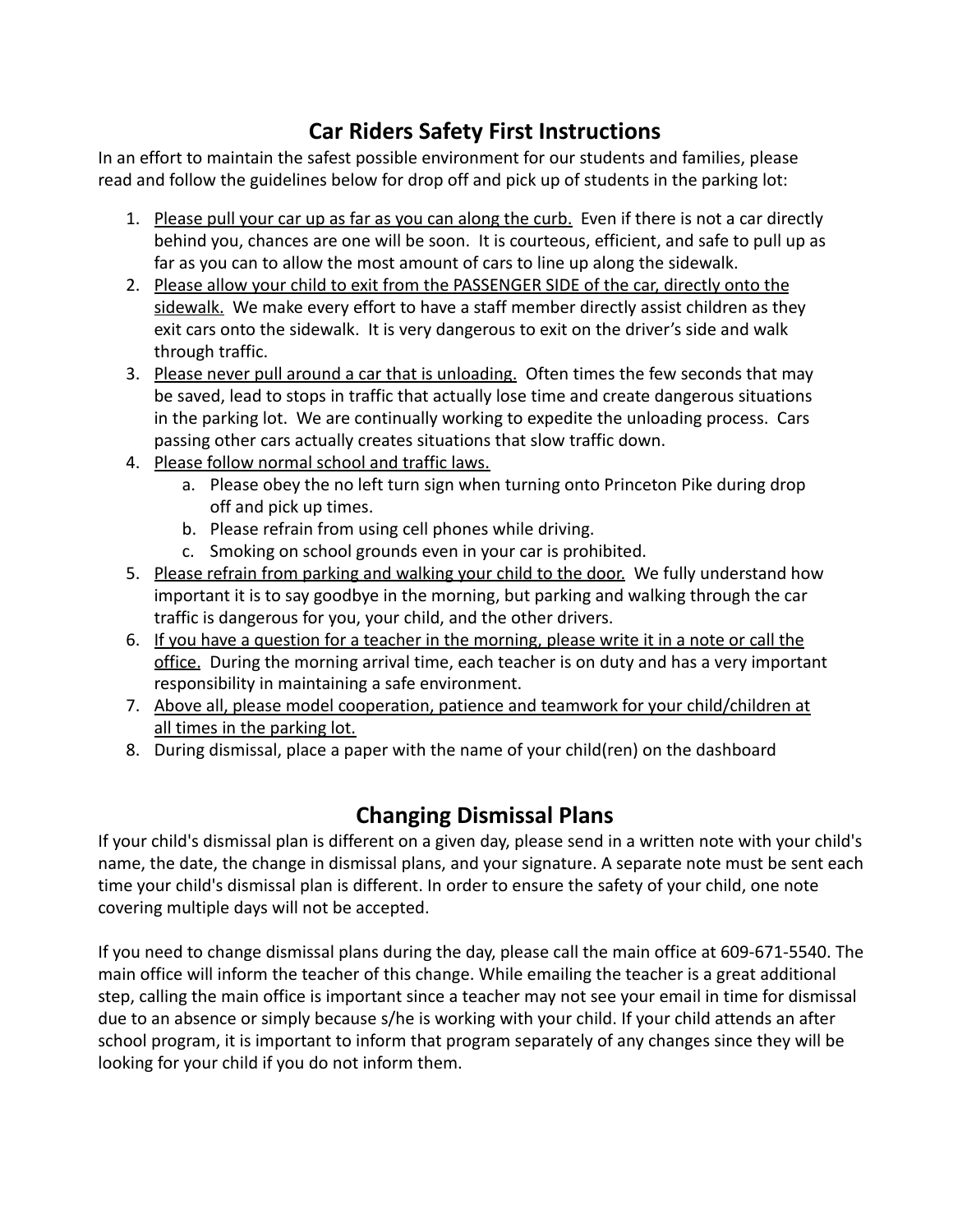# **Car Riders Safety First Instructions**

In an effort to maintain the safest possible environment for our students and families, please read and follow the guidelines below for drop off and pick up of students in the parking lot:

- 1. Please pull your car up as far as you can along the curb. Even if there is not a car directly behind you, chances are one will be soon. It is courteous, efficient, and safe to pull up as far as you can to allow the most amount of cars to line up along the sidewalk.
- 2. Please allow your child to exit from the PASSENGER SIDE of the car, directly onto the sidewalk. We make every effort to have a staff member directly assist children as they exit cars onto the sidewalk. It is very dangerous to exit on the driver's side and walk through traffic.
- 3. Please never pull around a car that is unloading. Often times the few seconds that may be saved, lead to stops in traffic that actually lose time and create dangerous situations in the parking lot. We are continually working to expedite the unloading process. Cars passing other cars actually creates situations that slow traffic down.
- 4. Please follow normal school and traffic laws.
	- a. Please obey the no left turn sign when turning onto Princeton Pike during drop off and pick up times.
	- b. Please refrain from using cell phones while driving.
	- c. Smoking on school grounds even in your car is prohibited.
- 5. Please refrain from parking and walking your child to the door. We fully understand how important it is to say goodbye in the morning, but parking and walking through the car traffic is dangerous for you, your child, and the other drivers.
- 6. If you have a question for a teacher in the morning, please write it in a note or call the office. During the morning arrival time, each teacher is on duty and has a very important responsibility in maintaining a safe environment.
- 7. Above all, please model cooperation, patience and teamwork for your child/children at all times in the parking lot.
- 8. During dismissal, place a paper with the name of your child(ren) on the dashboard

# **Changing Dismissal Plans**

If your child's dismissal plan is different on a given day, please send in a written note with your child's name, the date, the change in dismissal plans, and your signature. A separate note must be sent each time your child's dismissal plan is different. In order to ensure the safety of your child, one note covering multiple days will not be accepted.

If you need to change dismissal plans during the day, please call the main office at 609-671-5540. The main office will inform the teacher of this change. While emailing the teacher is a great additional step, calling the main office is important since a teacher may not see your email in time for dismissal due to an absence or simply because s/he is working with your child. If your child attends an after school program, it is important to inform that program separately of any changes since they will be looking for your child if you do not inform them.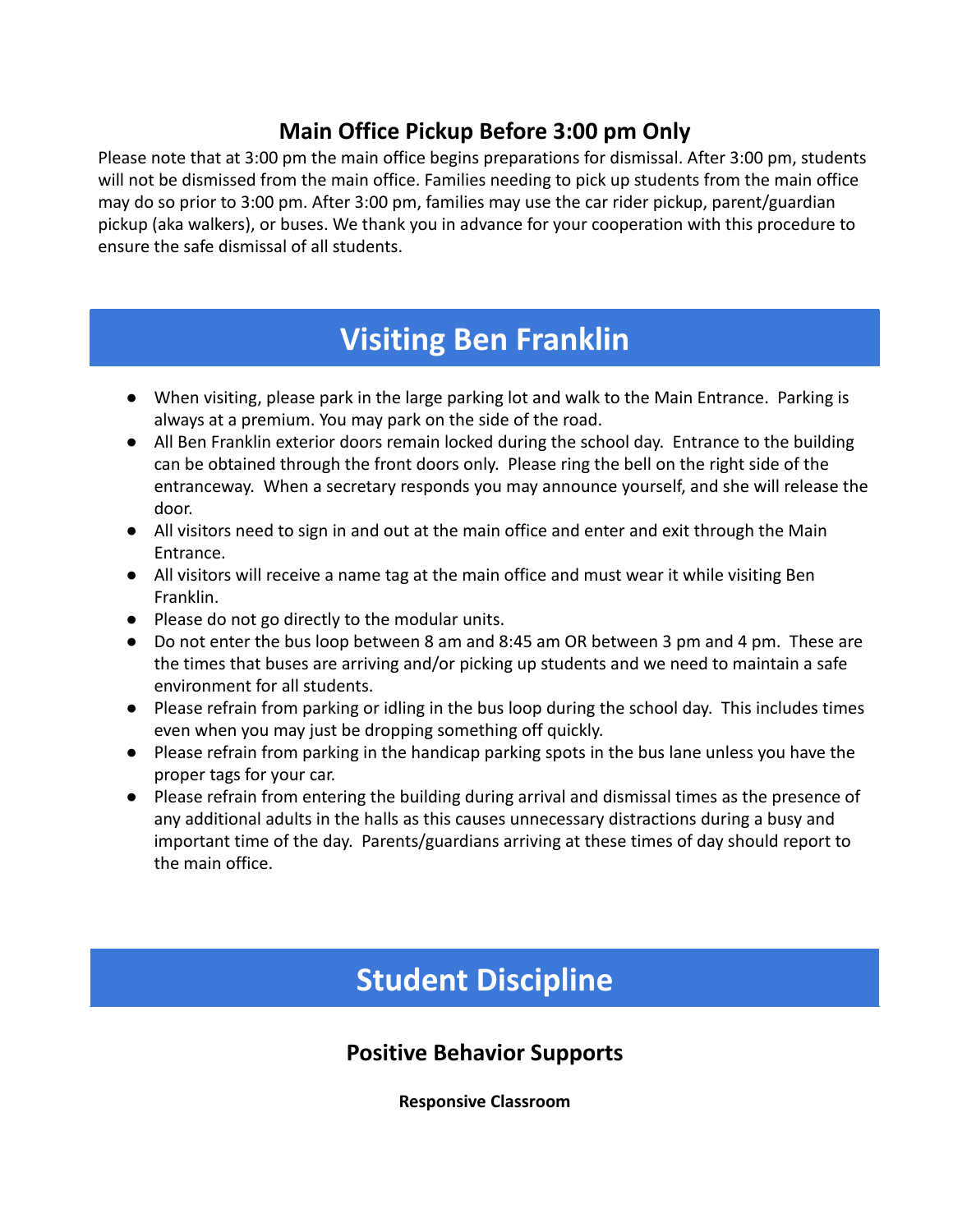## **Main Office Pickup Before 3:00 pm Only**

Please note that at 3:00 pm the main office begins preparations for dismissal. After 3:00 pm, students will not be dismissed from the main office. Families needing to pick up students from the main office may do so prior to 3:00 pm. After 3:00 pm, families may use the car rider pickup, parent/guardian pickup (aka walkers), or buses. We thank you in advance for your cooperation with this procedure to ensure the safe dismissal of all students.

# **Visiting Ben Franklin**

- When visiting, please park in the large parking lot and walk to the Main Entrance. Parking is always at a premium. You may park on the side of the road.
- All Ben Franklin exterior doors remain locked during the school day. Entrance to the building can be obtained through the front doors only. Please ring the bell on the right side of the entranceway. When a secretary responds you may announce yourself, and she will release the door.
- All visitors need to sign in and out at the main office and enter and exit through the Main Entrance.
- All visitors will receive a name tag at the main office and must wear it while visiting Ben Franklin.
- Please do not go directly to the modular units.
- Do not enter the bus loop between 8 am and 8:45 am OR between 3 pm and 4 pm. These are the times that buses are arriving and/or picking up students and we need to maintain a safe environment for all students.
- Please refrain from parking or idling in the bus loop during the school day. This includes times even when you may just be dropping something off quickly.
- Please refrain from parking in the handicap parking spots in the bus lane unless you have the proper tags for your car.
- Please refrain from entering the building during arrival and dismissal times as the presence of any additional adults in the halls as this causes unnecessary distractions during a busy and important time of the day. Parents/guardians arriving at these times of day should report to the main office.

# **Student Discipline**

### **Positive Behavior Supports**

**Responsive Classroom**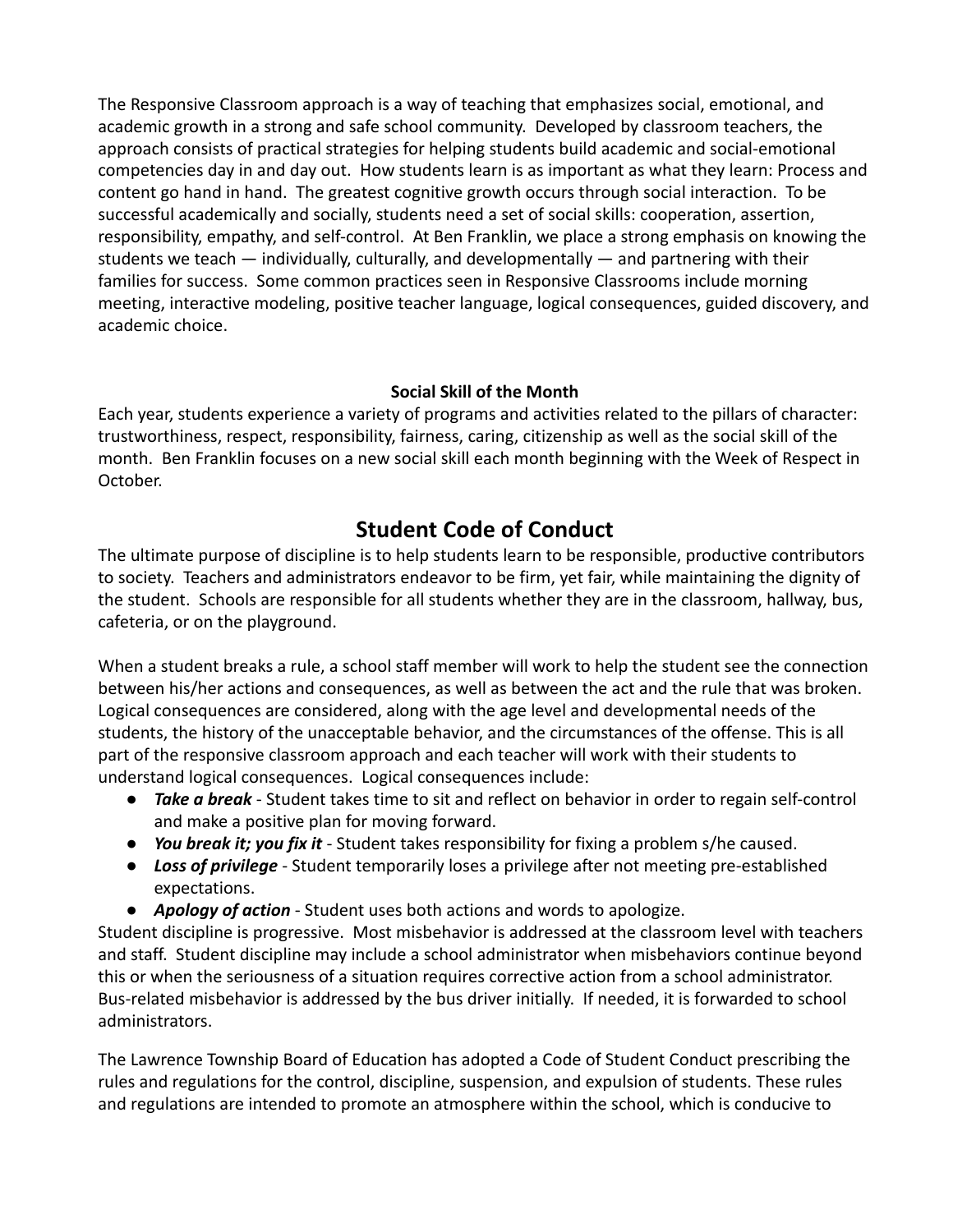The Responsive Classroom approach is a way of teaching that emphasizes social, emotional, and academic growth in a strong and safe school community. Developed by classroom teachers, the approach consists of practical strategies for helping students build academic and social-emotional competencies day in and day out. How students learn is as important as what they learn: Process and content go hand in hand. The greatest cognitive growth occurs through social interaction. To be successful academically and socially, students need a set of social skills: cooperation, assertion, responsibility, empathy, and self-control. At Ben Franklin, we place a strong emphasis on knowing the students we teach — individually, culturally, and developmentally — and partnering with their families for success. Some common practices seen in Responsive Classrooms include morning meeting, interactive modeling, positive teacher language, logical consequences, guided discovery, and academic choice.

### **Social Skill of the Month**

Each year, students experience a variety of programs and activities related to the pillars of character: trustworthiness, respect, responsibility, fairness, caring, citizenship as well as the social skill of the month. Ben Franklin focuses on a new social skill each month beginning with the Week of Respect in October.

# **Student Code of Conduct**

The ultimate purpose of discipline is to help students learn to be responsible, productive contributors to society. Teachers and administrators endeavor to be firm, yet fair, while maintaining the dignity of the student. Schools are responsible for all students whether they are in the classroom, hallway, bus, cafeteria, or on the playground.

When a student breaks a rule, a school staff member will work to help the student see the connection between his/her actions and consequences, as well as between the act and the rule that was broken. Logical consequences are considered, along with the age level and developmental needs of the students, the history of the unacceptable behavior, and the circumstances of the offense. This is all part of the responsive classroom approach and each teacher will work with their students to understand logical consequences. Logical consequences include:

- *Take a break* Student takes time to sit and reflect on behavior in order to regain self-control and make a positive plan for moving forward.
- *You break it; you fix it* Student takes responsibility for fixing a problem s/he caused.
- *Loss of privilege* Student temporarily loses a privilege after not meeting pre-established expectations.
- *Apology of action* Student uses both actions and words to apologize.

Student discipline is progressive. Most misbehavior is addressed at the classroom level with teachers and staff. Student discipline may include a school administrator when misbehaviors continue beyond this or when the seriousness of a situation requires corrective action from a school administrator. Bus-related misbehavior is addressed by the bus driver initially. If needed, it is forwarded to school administrators.

The Lawrence Township Board of Education has adopted a Code of Student Conduct prescribing the rules and regulations for the control, discipline, suspension, and expulsion of students. These rules and regulations are intended to promote an atmosphere within the school, which is conducive to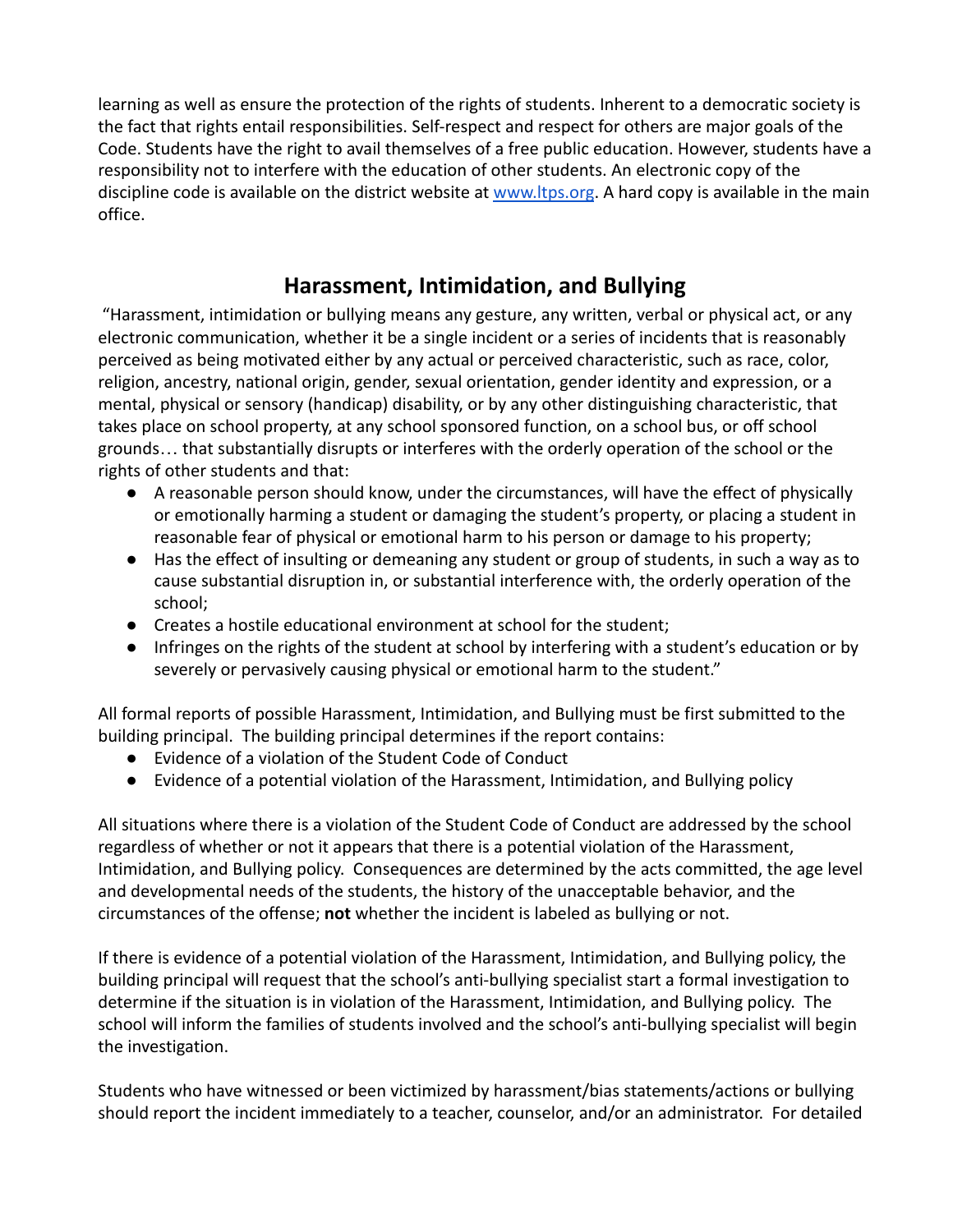learning as well as ensure the protection of the rights of students. Inherent to a democratic society is the fact that rights entail responsibilities. Self-respect and respect for others are major goals of the Code. Students have the right to avail themselves of a free public education. However, students have a responsibility not to interfere with the education of other students. An electronic copy of the discipline code is available on the district website at [www.ltps.org](http://www.ltps.org). A hard copy is available in the main office.

## **Harassment, Intimidation, and Bullying**

"Harassment, intimidation or bullying means any gesture, any written, verbal or physical act, or any electronic communication, whether it be a single incident or a series of incidents that is reasonably perceived as being motivated either by any actual or perceived characteristic, such as race, color, religion, ancestry, national origin, gender, sexual orientation, gender identity and expression, or a mental, physical or sensory (handicap) disability, or by any other distinguishing characteristic, that takes place on school property, at any school sponsored function, on a school bus, or off school grounds… that substantially disrupts or interferes with the orderly operation of the school or the rights of other students and that:

- A reasonable person should know, under the circumstances, will have the effect of physically or emotionally harming a student or damaging the student's property, or placing a student in reasonable fear of physical or emotional harm to his person or damage to his property;
- Has the effect of insulting or demeaning any student or group of students, in such a way as to cause substantial disruption in, or substantial interference with, the orderly operation of the school;
- Creates a hostile educational environment at school for the student;
- Infringes on the rights of the student at school by interfering with a student's education or by severely or pervasively causing physical or emotional harm to the student."

All formal reports of possible Harassment, Intimidation, and Bullying must be first submitted to the building principal. The building principal determines if the report contains:

- Evidence of a violation of the Student Code of Conduct
- Evidence of a potential violation of the Harassment, Intimidation, and Bullying policy

All situations where there is a violation of the Student Code of Conduct are addressed by the school regardless of whether or not it appears that there is a potential violation of the Harassment, Intimidation, and Bullying policy. Consequences are determined by the acts committed, the age level and developmental needs of the students, the history of the unacceptable behavior, and the circumstances of the offense; **not** whether the incident is labeled as bullying or not.

If there is evidence of a potential violation of the Harassment, Intimidation, and Bullying policy, the building principal will request that the school's anti-bullying specialist start a formal investigation to determine if the situation is in violation of the Harassment, Intimidation, and Bullying policy. The school will inform the families of students involved and the school's anti-bullying specialist will begin the investigation.

Students who have witnessed or been victimized by harassment/bias statements/actions or bullying should report the incident immediately to a teacher, counselor, and/or an administrator. For detailed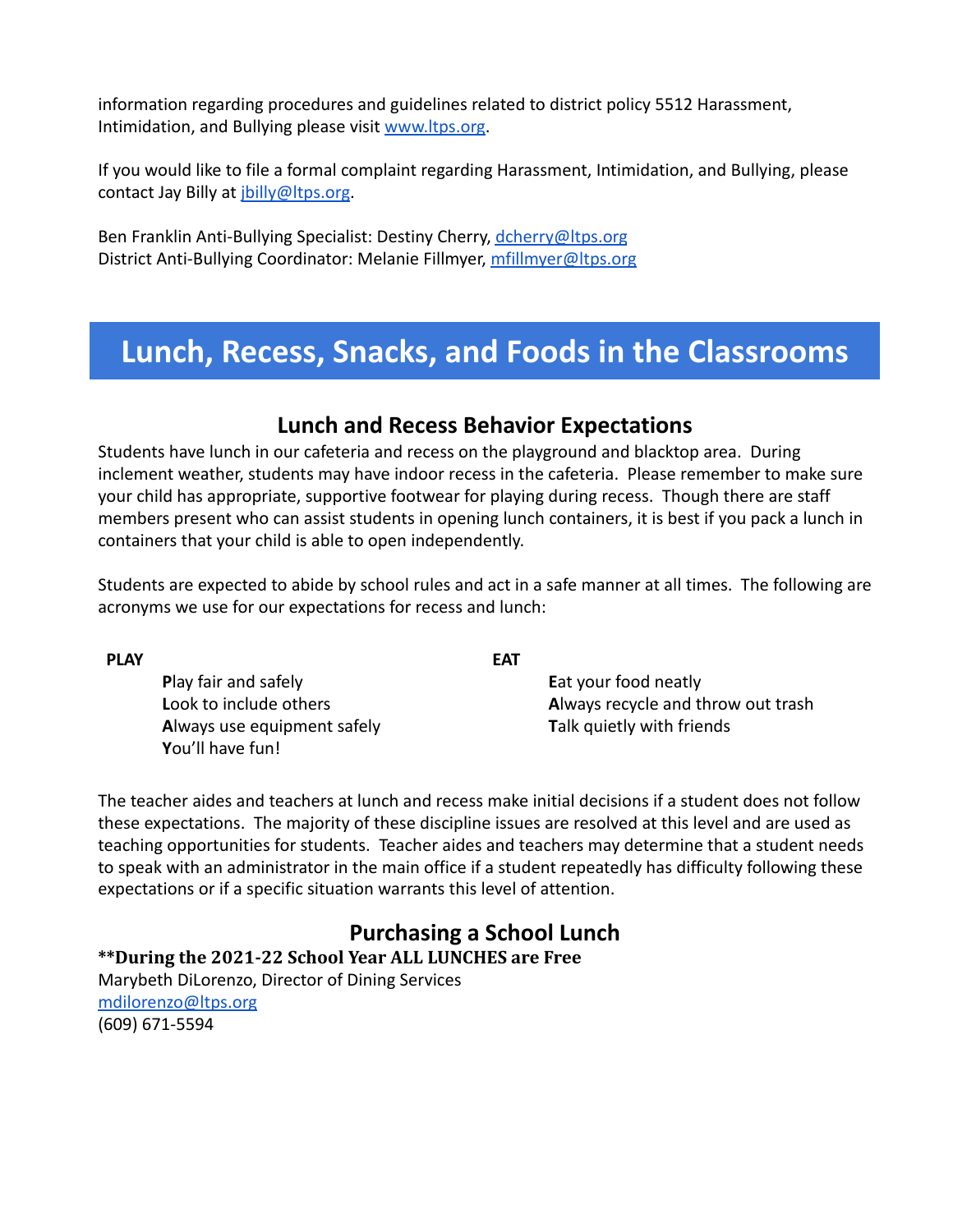information regarding procedures and guidelines related to district policy 5512 Harassment, Intimidation, and Bullying please visit [www.ltps.org.](http://www.ltps.org)

If you would like to file a formal complaint regarding Harassment, Intimidation, and Bullying, please contact Jay Billy at *jbilly*@ltps.org.

Ben Franklin Anti-Bullying Specialist: Destiny Cherry, [dcherry@ltps.org](mailto:dcherry@ltps.org) District Anti-Bullying Coordinator: Melanie Fillmyer, [mfillmyer@ltps.org](mailto:mfillmyer@ltps.org)

# **Lunch, Recess, Snacks, and Foods in the Classrooms**

### **Lunch and Recess Behavior Expectations**

Students have lunch in our cafeteria and recess on the playground and blacktop area. During inclement weather, students may have indoor recess in the cafeteria. Please remember to make sure your child has appropriate, supportive footwear for playing during recess. Though there are staff members present who can assist students in opening lunch containers, it is best if you pack a lunch in containers that your child is able to open independently.

Students are expected to abide by school rules and act in a safe manner at all times. The following are acronyms we use for our expectations for recess and lunch:

**P**lay fair and safely **L**ook to include others **A**lways use equipment safely **Y**ou'll have fun!

**PLAY**

**EAT**

**E**at your food neatly **A**lways recycle and throw out trash **T**alk quietly with friends

The teacher aides and teachers at lunch and recess make initial decisions if a student does not follow these expectations. The majority of these discipline issues are resolved at this level and are used as teaching opportunities for students. Teacher aides and teachers may determine that a student needs to speak with an administrator in the main office if a student repeatedly has difficulty following these expectations or if a specific situation warrants this level of attention.

### **Purchasing a School Lunch**

**\*\*During the 2021-22 School Year ALL LUNCHES are Free**

Marybeth DiLorenzo, Director of Dining Services [mdilorenzo@ltps.org](mailto:mdilorenzo@ltps.org) (609) 671-5594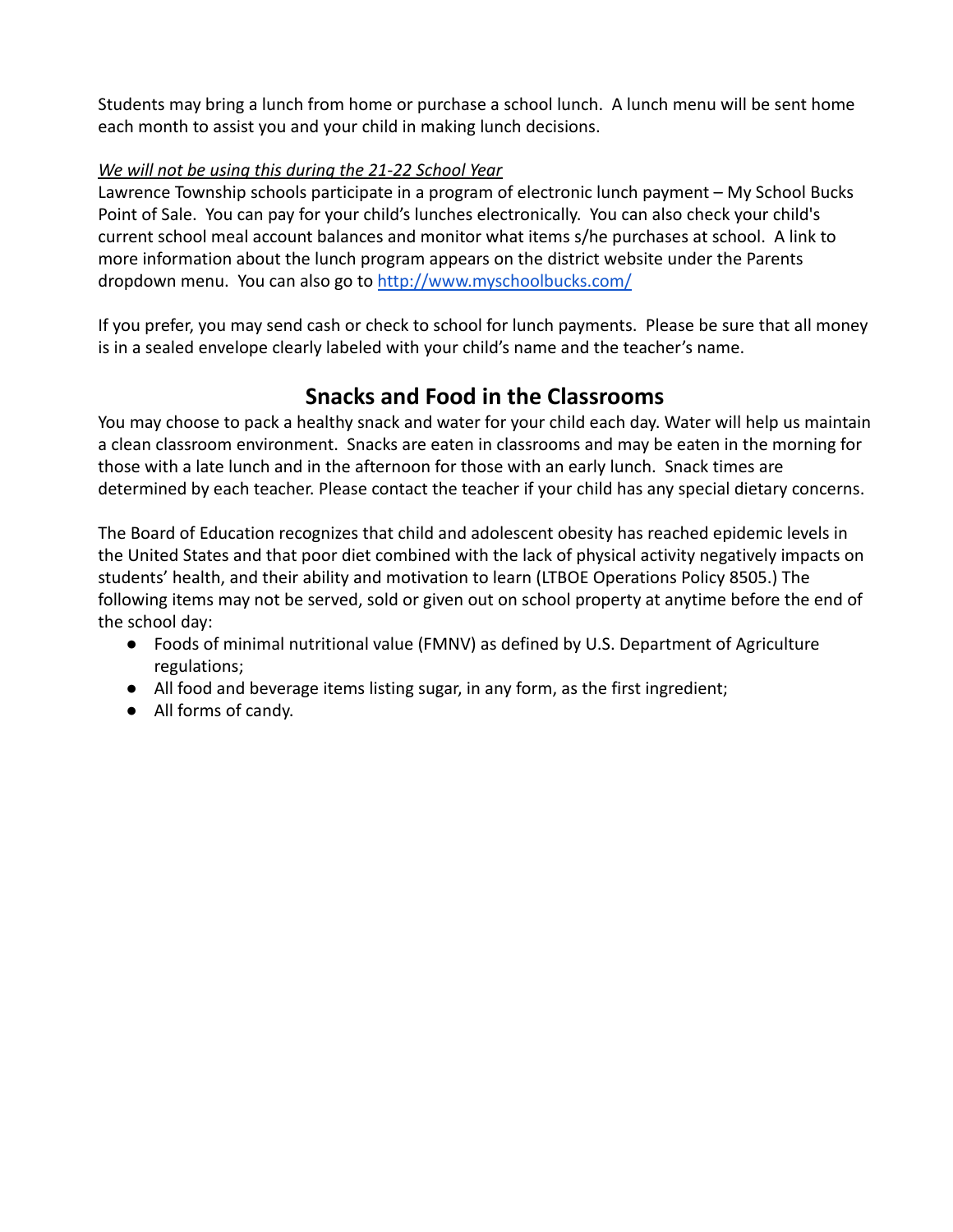Students may bring a lunch from home or purchase a school lunch. A lunch menu will be sent home each month to assist you and your child in making lunch decisions.

### *We will not be using this during the 21-22 School Year*

Lawrence Township schools participate in a program of electronic lunch payment – My School Bucks Point of Sale. You can pay for your child's lunches electronically. You can also check your child's current school meal account balances and monitor what items s/he purchases at school. A link to more information about the lunch program appears on the district website under the Parents dropdown menu. You can also go to [http://www.myschoolbucks.com/](https://www.myschoolbucks.com/ver2/login/getmain?requestAction=home)

If you prefer, you may send cash or check to school for lunch payments. Please be sure that all money is in a sealed envelope clearly labeled with your child's name and the teacher's name.

## **Snacks and Food in the Classrooms**

You may choose to pack a healthy snack and water for your child each day. Water will help us maintain a clean classroom environment. Snacks are eaten in classrooms and may be eaten in the morning for those with a late lunch and in the afternoon for those with an early lunch. Snack times are determined by each teacher. Please contact the teacher if your child has any special dietary concerns.

The Board of Education recognizes that child and adolescent obesity has reached epidemic levels in the United States and that poor diet combined with the lack of physical activity negatively impacts on students' health, and their ability and motivation to learn (LTBOE Operations Policy 8505.) The following items may not be served, sold or given out on school property at anytime before the end of the school day:

- Foods of minimal nutritional value (FMNV) as defined by U.S. Department of Agriculture regulations;
- All food and beverage items listing sugar, in any form, as the first ingredient;
- All forms of candy.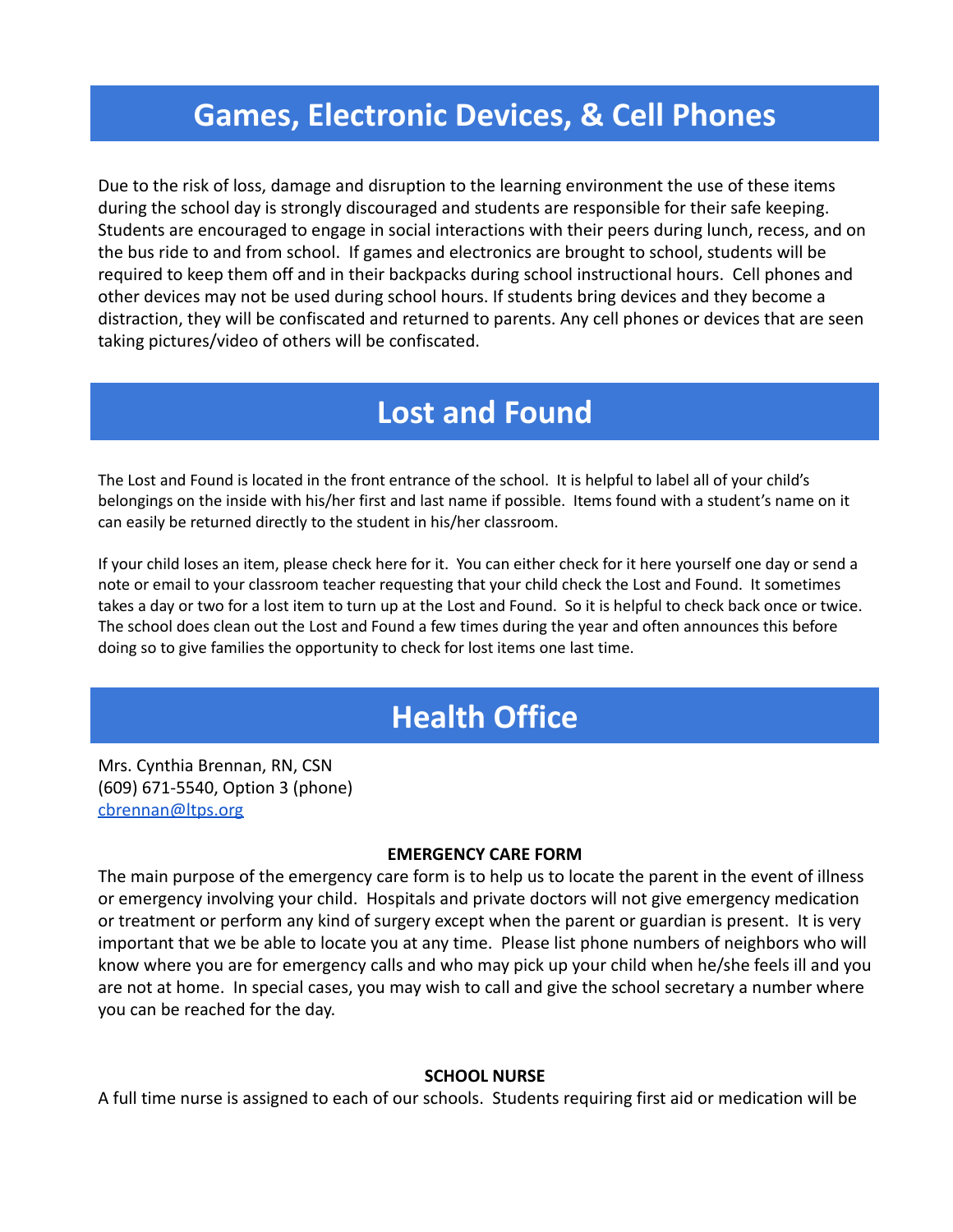# **Games, Electronic Devices, & Cell Phones**

Due to the risk of loss, damage and disruption to the learning environment the use of these items during the school day is strongly discouraged and students are responsible for their safe keeping. Students are encouraged to engage in social interactions with their peers during lunch, recess, and on the bus ride to and from school. If games and electronics are brought to school, students will be required to keep them off and in their backpacks during school instructional hours. Cell phones and other devices may not be used during school hours. If students bring devices and they become a distraction, they will be confiscated and returned to parents. Any cell phones or devices that are seen taking pictures/video of others will be confiscated.

# **Lost and Found**

The Lost and Found is located in the front entrance of the school. It is helpful to label all of your child's belongings on the inside with his/her first and last name if possible. Items found with a student's name on it can easily be returned directly to the student in his/her classroom.

If your child loses an item, please check here for it. You can either check for it here yourself one day or send a note or email to your classroom teacher requesting that your child check the Lost and Found. It sometimes takes a day or two for a lost item to turn up at the Lost and Found. So it is helpful to check back once or twice. The school does clean out the Lost and Found a few times during the year and often announces this before doing so to give families the opportunity to check for lost items one last time.

# **Health Office**

Mrs. Cynthia Brennan, RN, CSN (609) 671-5540, Option 3 (phone) [cbrennan@ltps.org](http://cbrennan@ltps.org)

#### **EMERGENCY CARE FORM**

The main purpose of the emergency care form is to help us to locate the parent in the event of illness or emergency involving your child. Hospitals and private doctors will not give emergency medication or treatment or perform any kind of surgery except when the parent or guardian is present. It is very important that we be able to locate you at any time. Please list phone numbers of neighbors who will know where you are for emergency calls and who may pick up your child when he/she feels ill and you are not at home. In special cases, you may wish to call and give the school secretary a number where you can be reached for the day.

#### **SCHOOL NURSE**

A full time nurse is assigned to each of our schools. Students requiring first aid or medication will be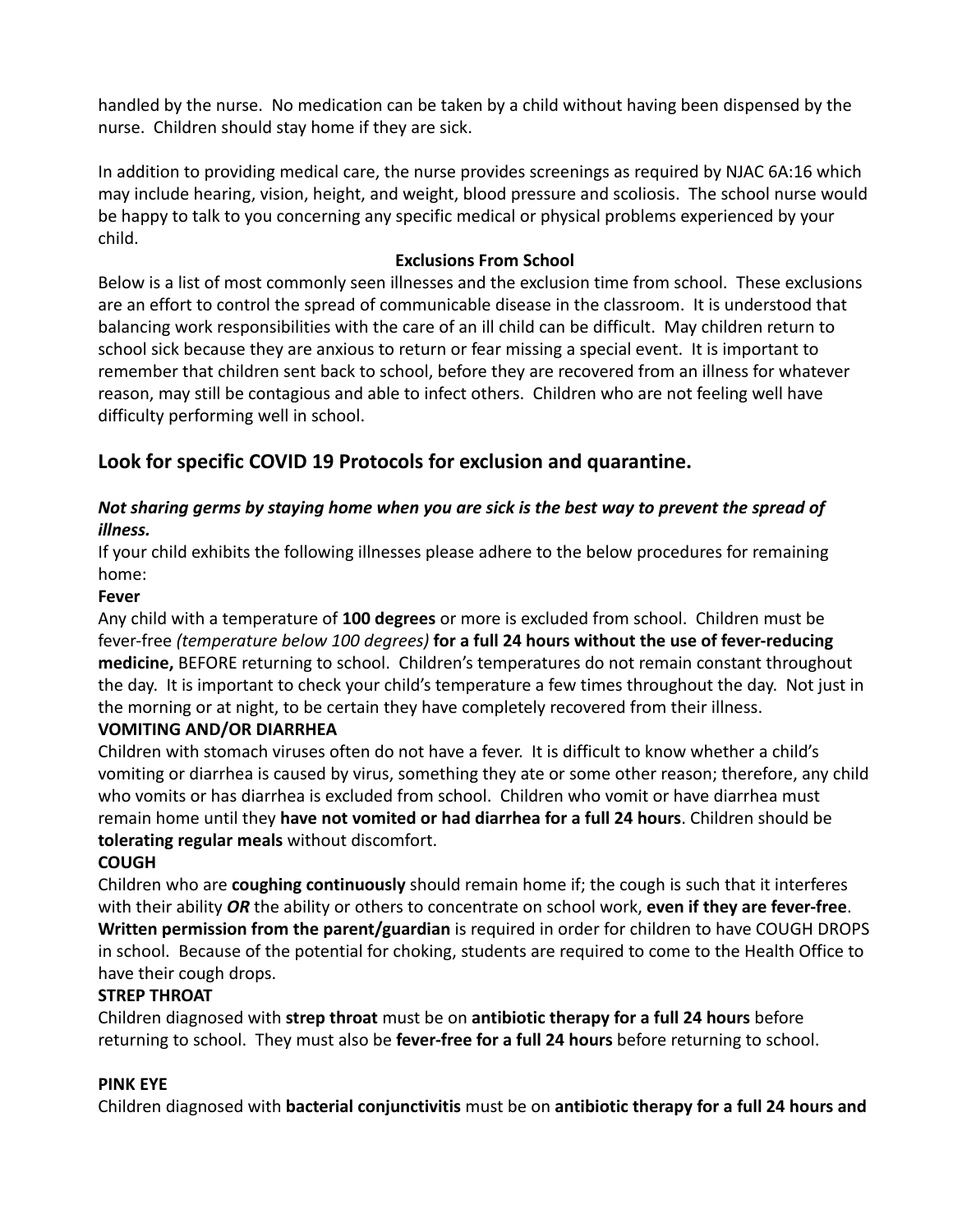handled by the nurse. No medication can be taken by a child without having been dispensed by the nurse. Children should stay home if they are sick.

In addition to providing medical care, the nurse provides screenings as required by NJAC 6A:16 which may include hearing, vision, height, and weight, blood pressure and scoliosis. The school nurse would be happy to talk to you concerning any specific medical or physical problems experienced by your child.

#### **Exclusions From School**

Below is a list of most commonly seen illnesses and the exclusion time from school. These exclusions are an effort to control the spread of communicable disease in the classroom. It is understood that balancing work responsibilities with the care of an ill child can be difficult. May children return to school sick because they are anxious to return or fear missing a special event. It is important to remember that children sent back to school, before they are recovered from an illness for whatever reason, may still be contagious and able to infect others. Children who are not feeling well have difficulty performing well in school.

### **Look for specific COVID 19 Protocols for exclusion and quarantine.**

### *Not sharing germs by staying home when you are sick is the best way to prevent the spread of illness.*

If your child exhibits the following illnesses please adhere to the below procedures for remaining home:

#### **Fever**

Any child with a temperature of **100 degrees** or more is excluded from school. Children must be fever-free *(temperature below 100 degrees)* **for a full 24 hours without the use of fever-reducing medicine,** BEFORE returning to school. Children's temperatures do not remain constant throughout the day. It is important to check your child's temperature a few times throughout the day. Not just in the morning or at night, to be certain they have completely recovered from their illness.

### **VOMITING AND/OR DIARRHEA**

Children with stomach viruses often do not have a fever. It is difficult to know whether a child's vomiting or diarrhea is caused by virus, something they ate or some other reason; therefore, any child who vomits or has diarrhea is excluded from school. Children who vomit or have diarrhea must remain home until they **have not vomited or had diarrhea for a full 24 hours**. Children should be **tolerating regular meals** without discomfort.

### **COUGH**

Children who are **coughing continuously** should remain home if; the cough is such that it interferes with their ability *OR* the ability or others to concentrate on school work, **even if they are fever-free**. **Written permission from the parent/guardian** is required in order for children to have COUGH DROPS in school. Because of the potential for choking, students are required to come to the Health Office to have their cough drops.

#### **STREP THROAT**

Children diagnosed with **strep throat** must be on **antibiotic therapy for a full 24 hours** before returning to school. They must also be **fever-free for a full 24 hours** before returning to school.

#### **PINK EYE**

Children diagnosed with **bacterial conjunctivitis** must be on **antibiotic therapy for a full 24 hours and**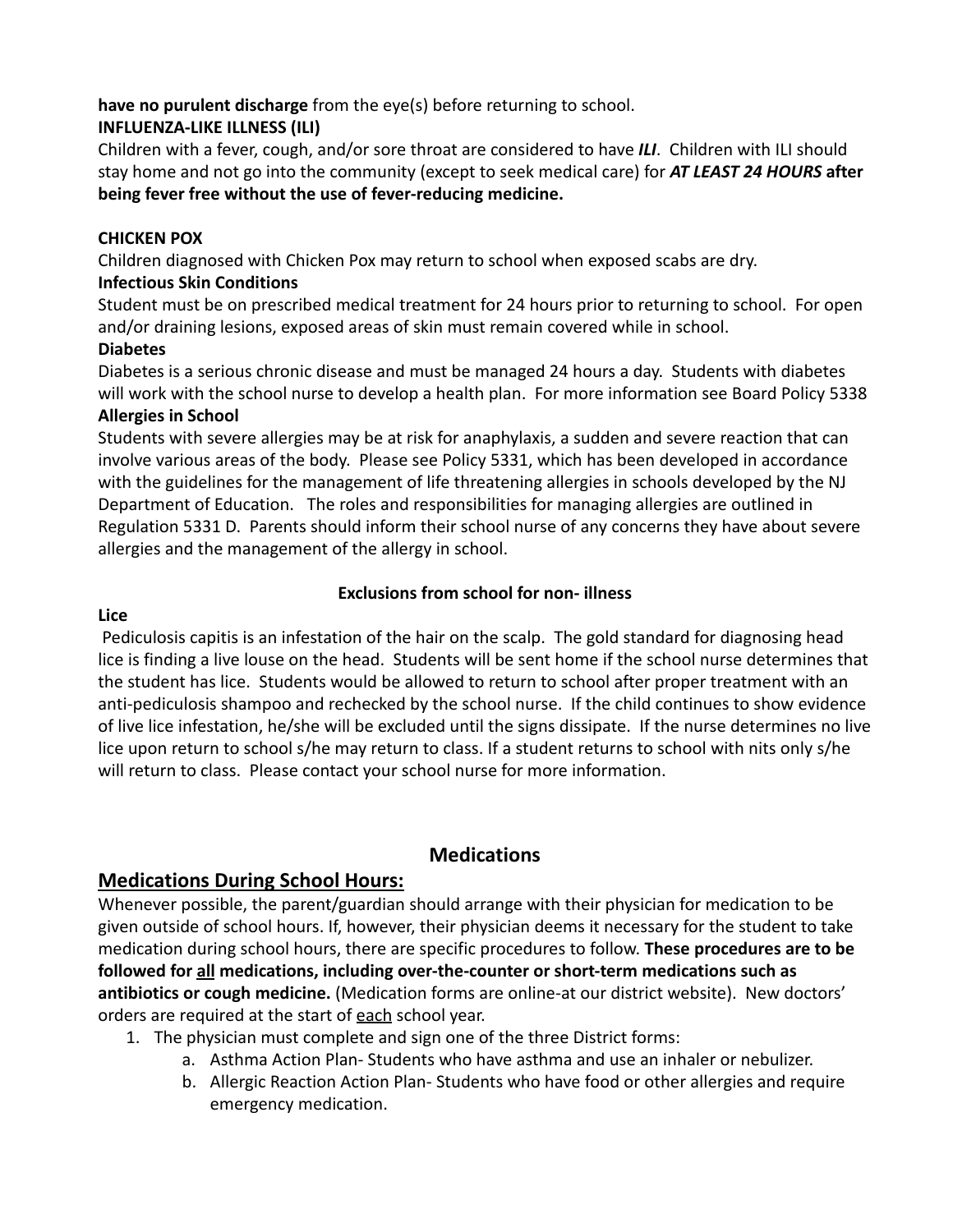#### **have no purulent discharge** from the eye(s) before returning to school. **INFLUENZA-LIKE ILLNESS (ILI)**

Children with a fever, cough, and/or sore throat are considered to have *ILI*. Children with ILI should stay home and not go into the community (except to seek medical care) for *AT LEAST 24 HOURS* **after being fever free without the use of fever-reducing medicine.**

### **CHICKEN POX**

Children diagnosed with Chicken Pox may return to school when exposed scabs are dry.

### **Infectious Skin Conditions**

Student must be on prescribed medical treatment for 24 hours prior to returning to school. For open and/or draining lesions, exposed areas of skin must remain covered while in school.

### **Diabetes**

Diabetes is a serious chronic disease and must be managed 24 hours a day. Students with diabetes will work with the school nurse to develop a health plan. For more information see Board Policy 5338 **Allergies in School**

Students with severe allergies may be at risk for anaphylaxis, a sudden and severe reaction that can involve various areas of the body. Please see Policy 5331, which has been developed in accordance with the guidelines for the management of life threatening allergies in schools developed by the NJ Department of Education. The roles and responsibilities for managing allergies are outlined in Regulation 5331 D. Parents should inform their school nurse of any concerns they have about severe allergies and the management of the allergy in school.

### **Exclusions from school for non- illness**

### **Lice**

Pediculosis capitis is an infestation of the hair on the scalp. The gold standard for diagnosing head lice is finding a live louse on the head. Students will be sent home if the school nurse determines that the student has lice. Students would be allowed to return to school after proper treatment with an anti-pediculosis shampoo and rechecked by the school nurse. If the child continues to show evidence of live lice infestation, he/she will be excluded until the signs dissipate. If the nurse determines no live lice upon return to school s/he may return to class. If a student returns to school with nits only s/he will return to class. Please contact your school nurse for more information.

### **Medications**

### **Medications During School Hours:**

Whenever possible, the parent/guardian should arrange with their physician for medication to be given outside of school hours. If, however, their physician deems it necessary for the student to take medication during school hours, there are specific procedures to follow. **These procedures are to be followed for all medications, including over-the-counter or short-term medications such as antibiotics or cough medicine.** (Medication forms are online-at our district website). New doctors' orders are required at the start of each school year.

- 1. The physician must complete and sign one of the three District forms:
	- a. Asthma Action Plan- Students who have asthma and use an inhaler or nebulizer.
	- b. Allergic Reaction Action Plan- Students who have food or other allergies and require emergency medication.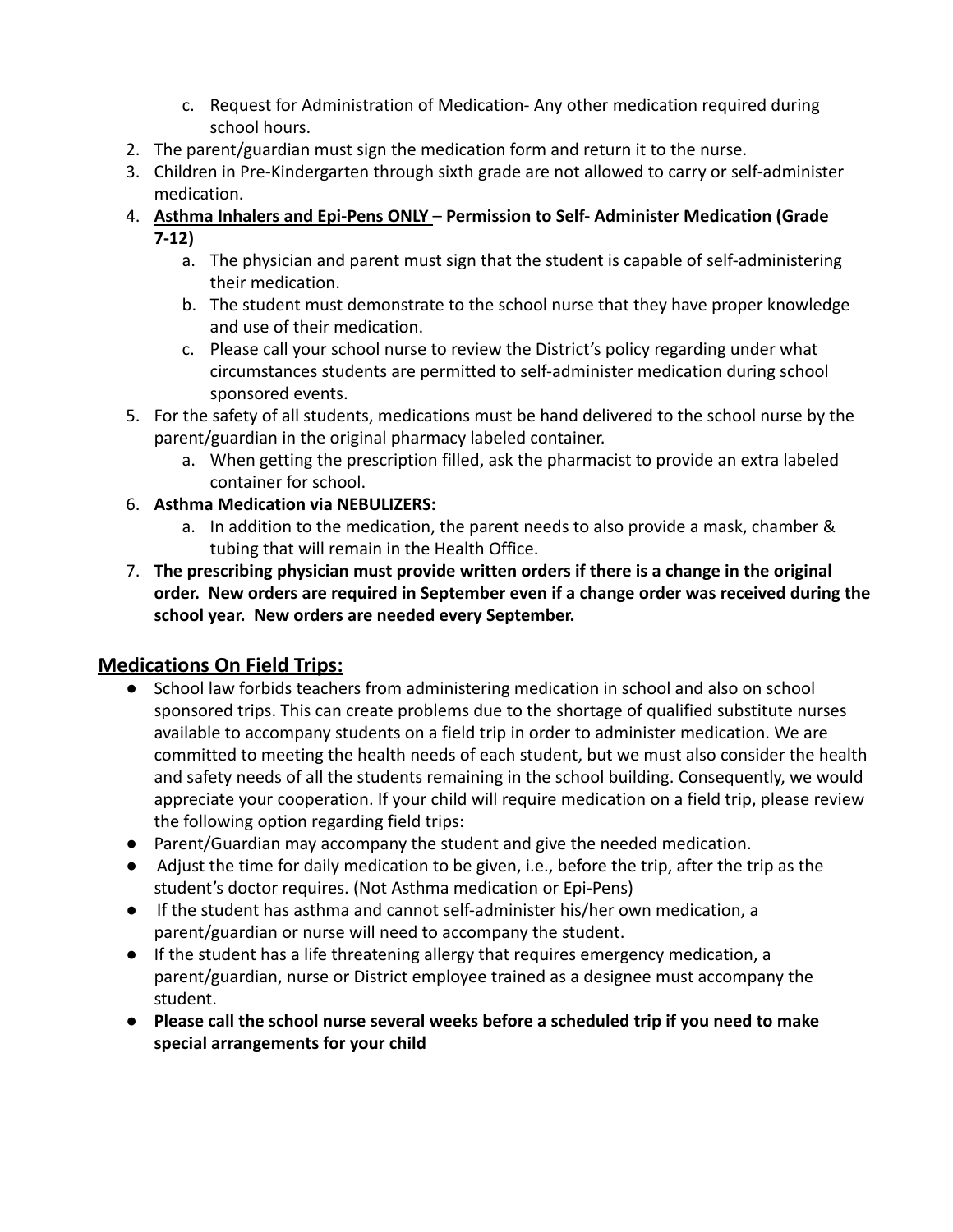- c. Request for Administration of Medication- Any other medication required during school hours.
- 2. The parent/guardian must sign the medication form and return it to the nurse.
- 3. Children in Pre-Kindergarten through sixth grade are not allowed to carry or self-administer medication.
- 4. **Asthma Inhalers and Epi-Pens ONLY Permission to Self- Administer Medication (Grade 7-12)**
	- a. The physician and parent must sign that the student is capable of self-administering their medication.
	- b. The student must demonstrate to the school nurse that they have proper knowledge and use of their medication.
	- c. Please call your school nurse to review the District's policy regarding under what circumstances students are permitted to self-administer medication during school sponsored events.
- 5. For the safety of all students, medications must be hand delivered to the school nurse by the parent/guardian in the original pharmacy labeled container.
	- a. When getting the prescription filled, ask the pharmacist to provide an extra labeled container for school.
- 6. **Asthma Medication via NEBULIZERS:**
	- a. In addition to the medication, the parent needs to also provide a mask, chamber & tubing that will remain in the Health Office.
- 7. **The prescribing physician must provide written orders if there is a change in the original order. New orders are required in September even if a change order was received during the school year. New orders are needed every September.**

### **Medications On Field Trips:**

- School law forbids teachers from administering medication in school and also on school sponsored trips. This can create problems due to the shortage of qualified substitute nurses available to accompany students on a field trip in order to administer medication. We are committed to meeting the health needs of each student, but we must also consider the health and safety needs of all the students remaining in the school building. Consequently, we would appreciate your cooperation. If your child will require medication on a field trip, please review the following option regarding field trips:
- Parent/Guardian may accompany the student and give the needed medication.
- Adjust the time for daily medication to be given, i.e., before the trip, after the trip as the student's doctor requires. (Not Asthma medication or Epi-Pens)
- If the student has asthma and cannot self-administer his/her own medication, a parent/guardian or nurse will need to accompany the student.
- If the student has a life threatening allergy that requires emergency medication, a parent/guardian, nurse or District employee trained as a designee must accompany the student.
- **Please call the school nurse several weeks before a scheduled trip if you need to make special arrangements for your child**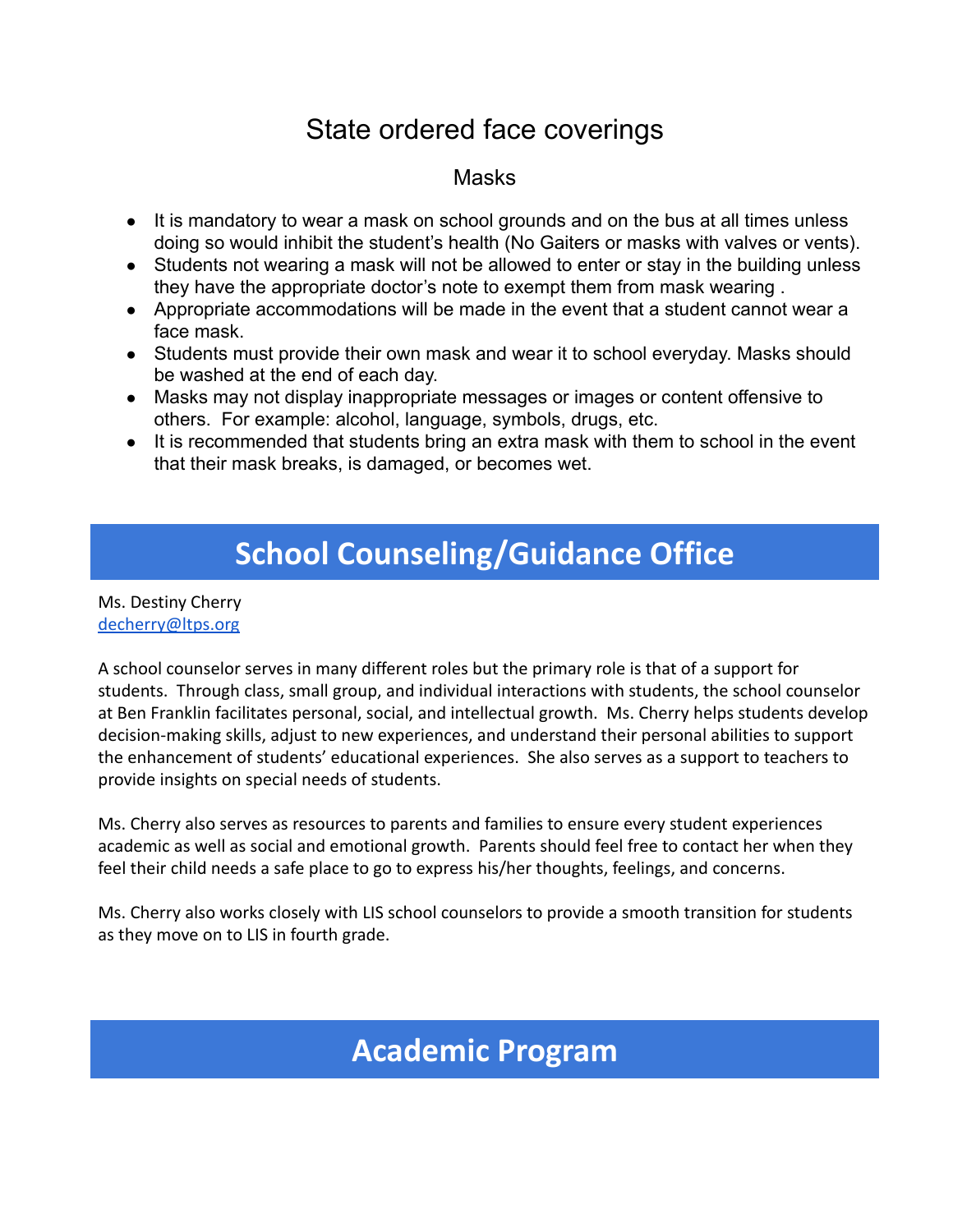# State ordered face coverings

### Masks

- It is mandatory to wear a mask on school grounds and on the bus at all times unless doing so would inhibit the student's health (No Gaiters or masks with valves or vents).
- Students not wearing a mask will not be allowed to enter or stay in the building unless they have the appropriate doctor's note to exempt them from mask wearing .
- Appropriate accommodations will be made in the event that a student cannot wear a face mask.
- Students must provide their own mask and wear it to school everyday. Masks should be washed at the end of each day.
- Masks may not display inappropriate messages or images or content offensive to others. For example: alcohol, language, symbols, drugs, etc.
- It is recommended that students bring an extra mask with them to school in the event that their mask breaks, is damaged, or becomes wet.

# **School Counseling/Guidance Office**

Ms. Destiny Cherry [decherry@ltps.org](mailto:dcherry@ltps.org)

A school counselor serves in many different roles but the primary role is that of a support for students. Through class, small group, and individual interactions with students, the school counselor at Ben Franklin facilitates personal, social, and intellectual growth. Ms. Cherry helps students develop decision-making skills, adjust to new experiences, and understand their personal abilities to support the enhancement of students' educational experiences. She also serves as a support to teachers to provide insights on special needs of students.

Ms. Cherry also serves as resources to parents and families to ensure every student experiences academic as well as social and emotional growth. Parents should feel free to contact her when they feel their child needs a safe place to go to express his/her thoughts, feelings, and concerns.

Ms. Cherry also works closely with LIS school counselors to provide a smooth transition for students as they move on to LIS in fourth grade.

# **Academic Program**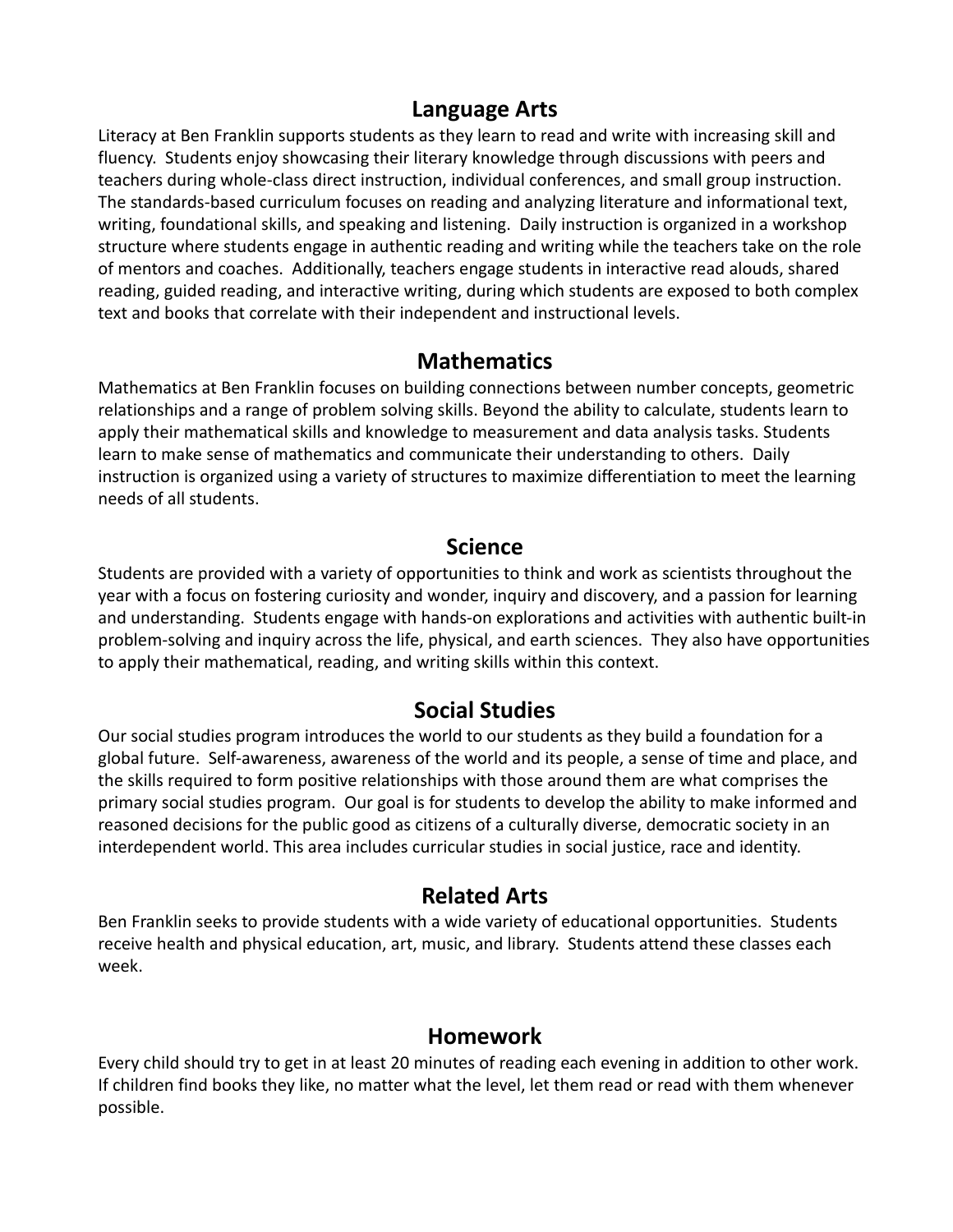### **Language Arts**

Literacy at Ben Franklin supports students as they learn to read and write with increasing skill and fluency. Students enjoy showcasing their literary knowledge through discussions with peers and teachers during whole-class direct instruction, individual conferences, and small group instruction. The standards-based curriculum focuses on reading and analyzing literature and informational text, writing, foundational skills, and speaking and listening. Daily instruction is organized in a workshop structure where students engage in authentic reading and writing while the teachers take on the role of mentors and coaches. Additionally, teachers engage students in interactive read alouds, shared reading, guided reading, and interactive writing, during which students are exposed to both complex text and books that correlate with their independent and instructional levels.

### **Mathematics**

Mathematics at Ben Franklin focuses on building connections between number concepts, geometric relationships and a range of problem solving skills. Beyond the ability to calculate, students learn to apply their mathematical skills and knowledge to measurement and data analysis tasks. Students learn to make sense of mathematics and communicate their understanding to others. Daily instruction is organized using a variety of structures to maximize differentiation to meet the learning needs of all students.

### **Science**

Students are provided with a variety of opportunities to think and work as scientists throughout the year with a focus on fostering curiosity and wonder, inquiry and discovery, and a passion for learning and understanding. Students engage with hands-on explorations and activities with authentic built-in problem-solving and inquiry across the life, physical, and earth sciences. They also have opportunities to apply their mathematical, reading, and writing skills within this context.

### **Social Studies**

Our social studies program introduces the world to our students as they build a foundation for a global future. Self-awareness, awareness of the world and its people, a sense of time and place, and the skills required to form positive relationships with those around them are what comprises the primary social studies program. Our goal is for students to develop the ability to make informed and reasoned decisions for the public good as citizens of a culturally diverse, democratic society in an interdependent world. This area includes curricular studies in social justice, race and identity.

### **Related Arts**

Ben Franklin seeks to provide students with a wide variety of educational opportunities. Students receive health and physical education, art, music, and library. Students attend these classes each week.

### **Homework**

Every child should try to get in at least 20 minutes of reading each evening in addition to other work. If children find books they like, no matter what the level, let them read or read with them whenever possible.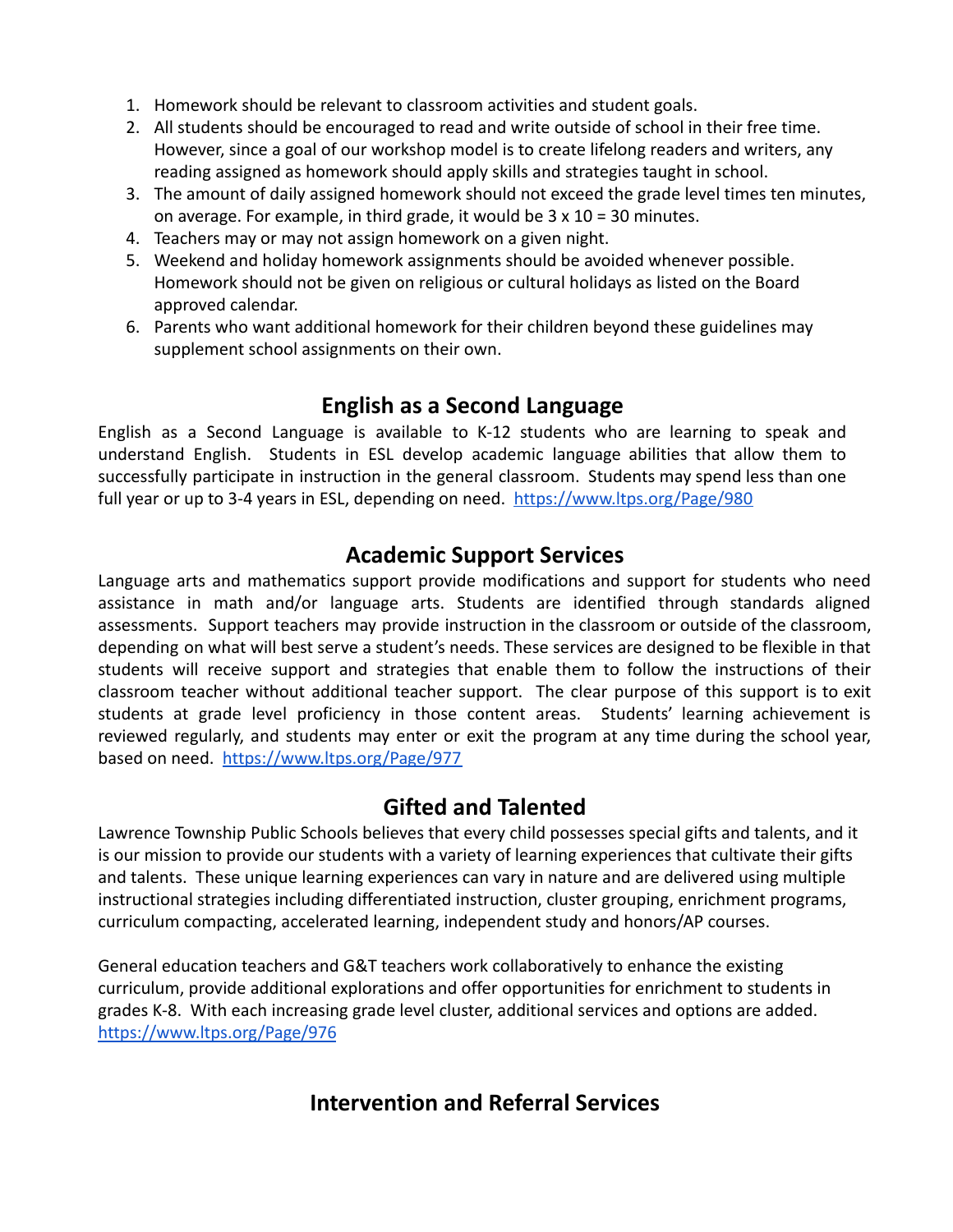- 1. Homework should be relevant to classroom activities and student goals.
- 2. All students should be encouraged to read and write outside of school in their free time. However, since a goal of our workshop model is to create lifelong readers and writers, any reading assigned as homework should apply skills and strategies taught in school.
- 3. The amount of daily assigned homework should not exceed the grade level times ten minutes, on average. For example, in third grade, it would be  $3 \times 10 = 30$  minutes.
- 4. Teachers may or may not assign homework on a given night.
- 5. Weekend and holiday homework assignments should be avoided whenever possible. Homework should not be given on religious or cultural holidays as listed on the Board approved calendar.
- 6. Parents who want additional homework for their children beyond these guidelines may supplement school assignments on their own.

### **English as a Second Language**

English as a Second Language is available to K-12 students who are learning to speak and understand English. Students in ESL develop academic language abilities that allow them to successfully participate in instruction in the general classroom. Students may spend less than one full year or up to 3-4 years in ESL, depending on need. <https://www.ltps.org/Page/980>

### **Academic Support Services**

Language arts and mathematics support provide modifications and support for students who need assistance in math and/or language arts. Students are identified through standards aligned assessments. Support teachers may provide instruction in the classroom or outside of the classroom, depending on what will best serve a student's needs. These services are designed to be flexible in that students will receive support and strategies that enable them to follow the instructions of their classroom teacher without additional teacher support. The clear purpose of this support is to exit students at grade level proficiency in those content areas. Students' learning achievement is reviewed regularly, and students may enter or exit the program at any time during the school year, based on need. <https://www.ltps.org/Page/977>

### **Gifted and Talented**

Lawrence Township Public Schools believes that every child possesses special gifts and talents, and it is our mission to provide our students with a variety of learning experiences that cultivate their gifts and talents. These unique learning experiences can vary in nature and are delivered using multiple instructional strategies including differentiated instruction, cluster grouping, enrichment programs, curriculum compacting, accelerated learning, independent study and honors/AP courses.

General education teachers and G&T teachers work collaboratively to enhance the existing curriculum, provide additional explorations and offer opportunities for enrichment to students in grades K-8. With each increasing grade level cluster, additional services and options are added. <https://www.ltps.org/Page/976>

### **Intervention and Referral Services**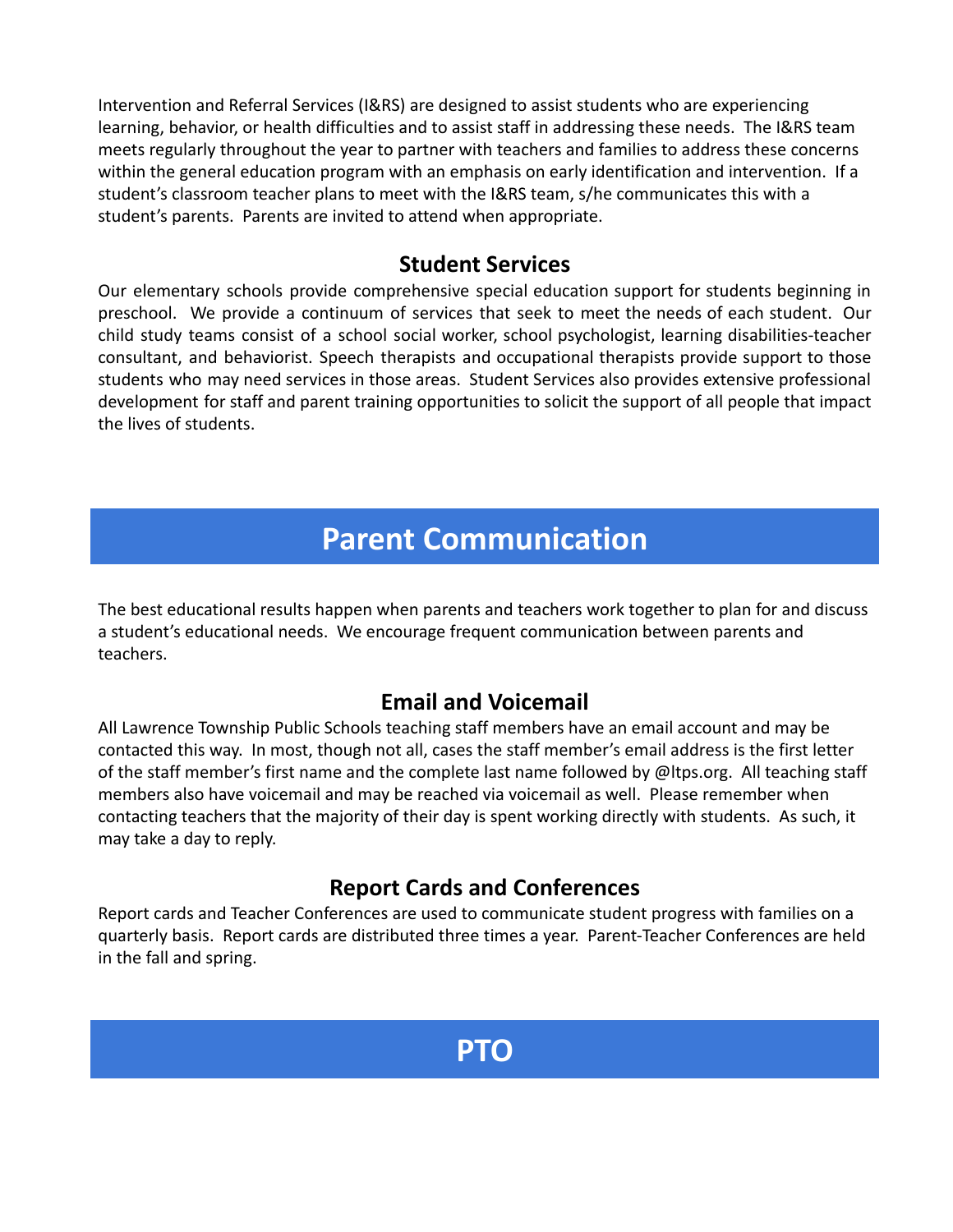Intervention and Referral Services (I&RS) are designed to assist students who are experiencing learning, behavior, or health difficulties and to assist staff in addressing these needs. The I&RS team meets regularly throughout the year to partner with teachers and families to address these concerns within the general education program with an emphasis on early identification and intervention. If a student's classroom teacher plans to meet with the I&RS team, s/he communicates this with a student's parents. Parents are invited to attend when appropriate.

### **Student Services**

Our elementary schools provide comprehensive special education support for students beginning in preschool. We provide a continuum of services that seek to meet the needs of each student. Our child study teams consist of a school social worker, school psychologist, learning disabilities-teacher consultant, and behaviorist. Speech therapists and occupational therapists provide support to those students who may need services in those areas. Student Services also provides extensive professional development for staff and parent training opportunities to solicit the support of all people that impact the lives of students.

# **Parent Communication**

The best educational results happen when parents and teachers work together to plan for and discuss a student's educational needs. We encourage frequent communication between parents and teachers.

### **Email and Voicemail**

All Lawrence Township Public Schools teaching staff members have an email account and may be contacted this way. In most, though not all, cases the staff member's email address is the first letter of the staff member's first name and the complete last name followed by @ltps.org. All teaching staff members also have voicemail and may be reached via voicemail as well. Please remember when contacting teachers that the majority of their day is spent working directly with students. As such, it may take a day to reply.

### **Report Cards and Conferences**

Report cards and Teacher Conferences are used to communicate student progress with families on a quarterly basis. Report cards are distributed three times a year. Parent-Teacher Conferences are held in the fall and spring.

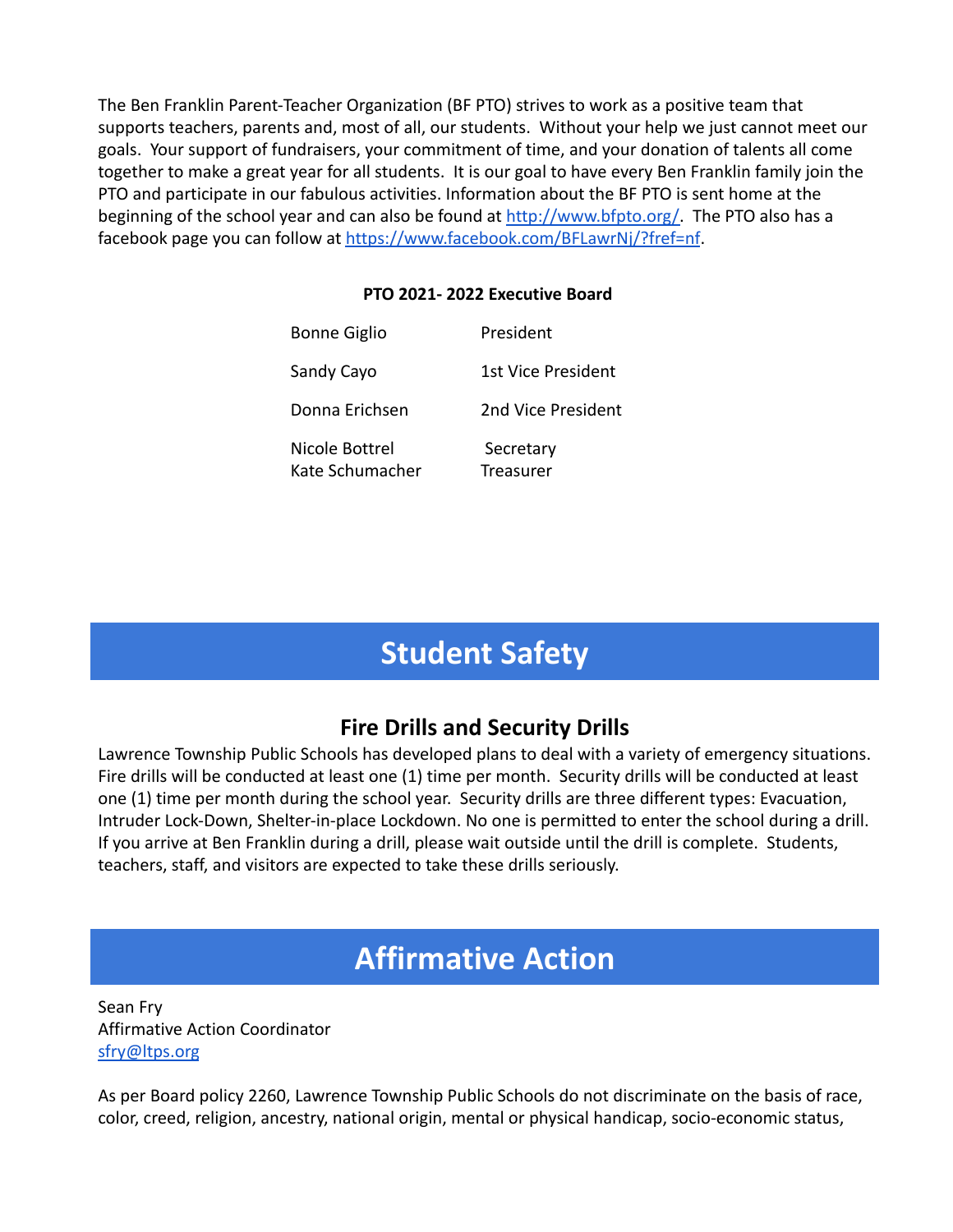The Ben Franklin Parent-Teacher Organization (BF PTO) strives to work as a positive team that supports teachers, parents and, most of all, our students. Without your help we just cannot meet our goals. Your support of fundraisers, your commitment of time, and your donation of talents all come together to make a great year for all students. It is our goal to have every Ben Franklin family join the PTO and participate in our fabulous activities. Information about the BF PTO is sent home at the beginning of the school year and can also be found at [http://www.bfpto.org/.](http://www.bfpto.org/) The PTO also has a facebook page you can follow at <https://www.facebook.com/BFLawrNj/?fref=nf>.

#### **PTO 2021- 2022 Executive Board**

| <b>Bonne Giglio</b>               | President              |
|-----------------------------------|------------------------|
| Sandy Cayo                        | 1st Vice President     |
| Donna Frichsen                    | 2nd Vice President     |
| Nicole Bottrel<br>Kate Schumacher | Secretary<br>Treasurer |

# **Student Safety**

# **Fire Drills and Security Drills**

Lawrence Township Public Schools has developed plans to deal with a variety of emergency situations. Fire drills will be conducted at least one (1) time per month. Security drills will be conducted at least one (1) time per month during the school year. Security drills are three different types: Evacuation, Intruder Lock-Down, Shelter-in-place Lockdown. No one is permitted to enter the school during a drill. If you arrive at Ben Franklin during a drill, please wait outside until the drill is complete. Students, teachers, staff, and visitors are expected to take these drills seriously.

# **Affirmative Action**

Sean Fry Affirmative Action Coordinator [sfry@ltps.org](mailto:sfry@ltps.org)

As per Board policy 2260, Lawrence Township Public Schools do not discriminate on the basis of race, color, creed, religion, ancestry, national origin, mental or physical handicap, socio-economic status,